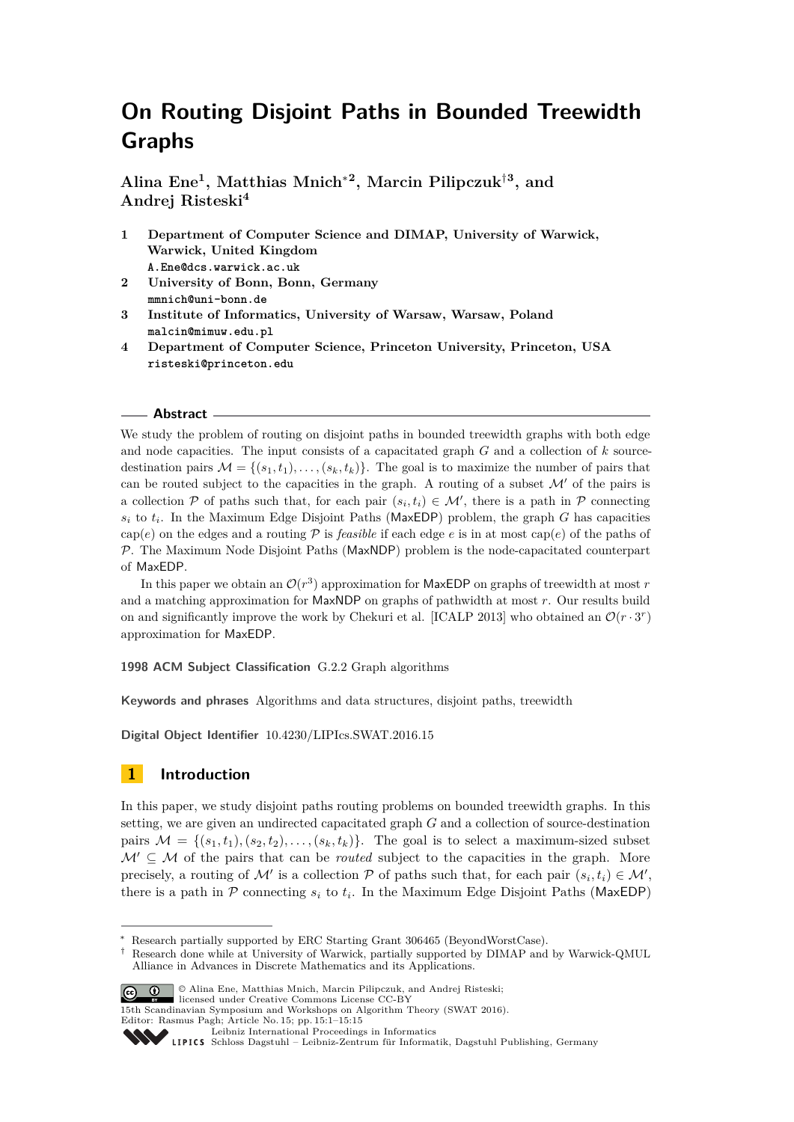# **On Routing Disjoint Paths in Bounded Treewidth Graphs**

**Alina Ene<sup>1</sup> , Matthias Mnich**<sup>∗</sup>**<sup>2</sup> , Marcin Pilipczuk**†**<sup>3</sup> , and Andrej Risteski<sup>4</sup>**

- **1 Department of Computer Science and DIMAP, University of Warwick, Warwick, United Kingdom A.Ene@dcs.warwick.ac.uk**
- **2 University of Bonn, Bonn, Germany mmnich@uni-bonn.de**
- **3 Institute of Informatics, University of Warsaw, Warsaw, Poland malcin@mimuw.edu.pl**
- **4 Department of Computer Science, Princeton University, Princeton, USA risteski@princeton.edu**

## **Abstract**

We study the problem of routing on disjoint paths in bounded treewidth graphs with both edge and node capacities. The input consists of a capacitated graph *G* and a collection of *k* sourcedestination pairs  $\mathcal{M} = \{(s_1, t_1), \ldots, (s_k, t_k)\}\.$  The goal is to maximize the number of pairs that can be routed subject to the capacities in the graph. A routing of a subset  $\mathcal{M}'$  of the pairs is a collection P of paths such that, for each pair  $(s_i, t_i) \in \mathcal{M}'$ , there is a path in P connecting  $s_i$  to  $t_i$ . In the Maximum Edge Disjoint Paths (MaxEDP) problem, the graph *G* has capacities cap(*e*) on the edges and a routing  $P$  is *feasible* if each edge *e* is in at most cap(*e*) of the paths of  $P$ . The Maximum Node Disjoint Paths (MaxNDP) problem is the node-capacitated counterpart of MaxEDP.

In this paper we obtain an  $\mathcal{O}(r^3)$  approximation for MaxEDP on graphs of treewidth at most *r* and a matching approximation for MaxNDP on graphs of pathwidth at most *r*. Our results build on and significantly improve the work by Chekuri et al. [ICALP 2013] who obtained an  $\mathcal{O}(r \cdot 3^r)$ approximation for MaxEDP.

**1998 ACM Subject Classification** G.2.2 Graph algorithms

**Keywords and phrases** Algorithms and data structures, disjoint paths, treewidth

**Digital Object Identifier** [10.4230/LIPIcs.SWAT.2016.15](http://dx.doi.org/10.4230/LIPIcs.SWAT.2016.15)

# **1 Introduction**

In this paper, we study disjoint paths routing problems on bounded treewidth graphs. In this setting, we are given an undirected capacitated graph *G* and a collection of source-destination pairs  $\mathcal{M} = \{(s_1, t_1), (s_2, t_2), \ldots, (s_k, t_k)\}\$ . The goal is to select a maximum-sized subset  $\mathcal{M}' \subseteq \mathcal{M}$  of the pairs that can be *routed* subject to the capacities in the graph. More precisely, a routing of M' is a collection P of paths such that, for each pair  $(s_i, t_i) \in \mathcal{M}'$ , there is a path in  $P$  connecting  $s_i$  to  $t_i$ . In the Maximum Edge Disjoint Paths (MaxEDP)

<sup>†</sup> Research done while at University of Warwick, partially supported by DIMAP and by Warwick-QMUL Alliance in Advances in Discrete Mathematics and its Applications.



<sup>©</sup> Alina Ene, Matthias Mnich, Marcin Pilipczuk, and Andrej Risteski; licensed under Creative Commons License CC-BY

15th Scandinavian Symposium and Workshops on Algorithm Theory (SWAT 2016). Editor: Rasmus Pagh; Article No. 15; pp. 15:1–15[:15](#page-14-0)

[Leibniz International Proceedings in Informatics](http://www.dagstuhl.de/lipics/)

<sup>∗</sup> Research partially supported by ERC Starting Grant 306465 (BeyondWorstCase).

Leibniz international riverenings in missimonal Publishing, Germany<br>LIPICS [Schloss Dagstuhl – Leibniz-Zentrum für Informatik, Dagstuhl Publishing, Germany](http://www.dagstuhl.de)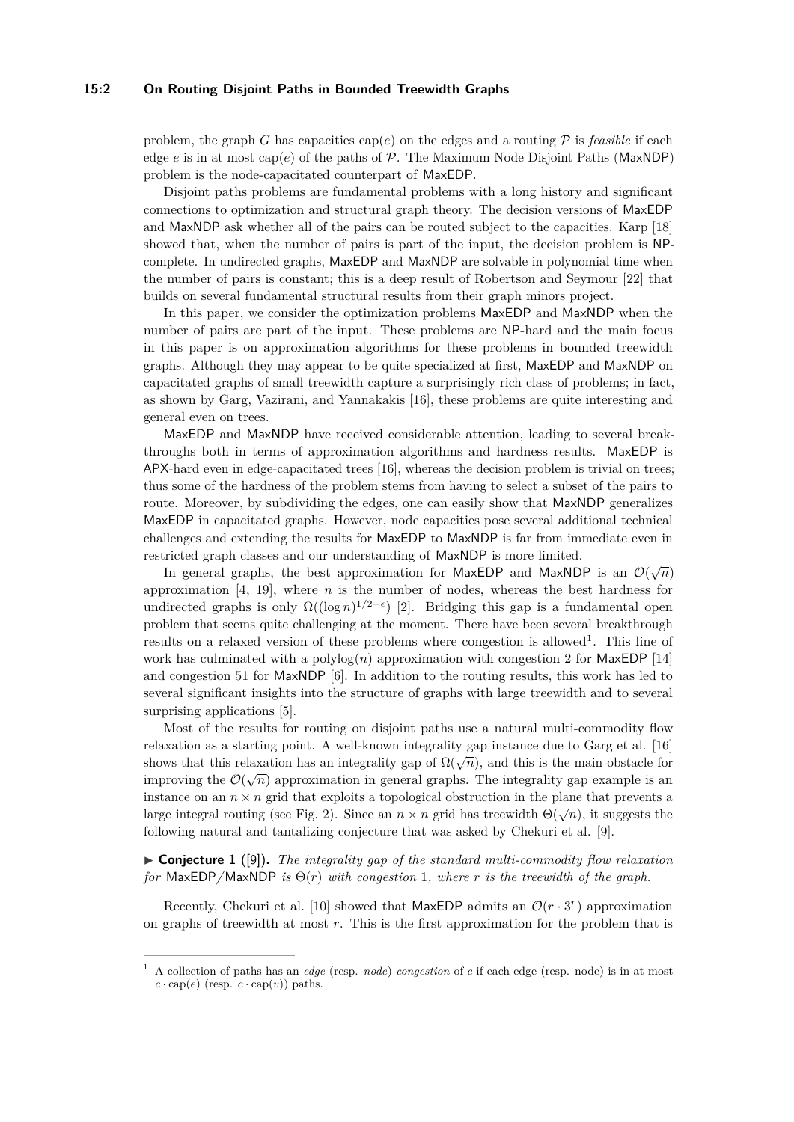## **15:2 On Routing Disjoint Paths in Bounded Treewidth Graphs**

problem, the graph *G* has capacities cap(*e*) on the edges and a routing  $\mathcal P$  is *feasible* if each edge  $e$  is in at most cap( $e$ ) of the paths of  $P$ . The Maximum Node Disjoint Paths (MaxNDP) problem is the node-capacitated counterpart of MaxEDP.

Disjoint paths problems are fundamental problems with a long history and significant connections to optimization and structural graph theory. The decision versions of MaxEDP and MaxNDP ask whether all of the pairs can be routed subject to the capacities. Karp [\[18\]](#page-14-1) showed that, when the number of pairs is part of the input, the decision problem is NPcomplete. In undirected graphs, MaxEDP and MaxNDP are solvable in polynomial time when the number of pairs is constant; this is a deep result of Robertson and Seymour [\[22\]](#page-14-2) that builds on several fundamental structural results from their graph minors project.

In this paper, we consider the optimization problems MaxEDP and MaxNDP when the number of pairs are part of the input. These problems are NP-hard and the main focus in this paper is on approximation algorithms for these problems in bounded treewidth graphs. Although they may appear to be quite specialized at first, MaxEDP and MaxNDP on capacitated graphs of small treewidth capture a surprisingly rich class of problems; in fact, as shown by Garg, Vazirani, and Yannakakis [\[16\]](#page-14-3), these problems are quite interesting and general even on trees.

MaxEDP and MaxNDP have received considerable attention, leading to several breakthroughs both in terms of approximation algorithms and hardness results. MaxEDP is APX-hard even in edge-capacitated trees [\[16\]](#page-14-3), whereas the decision problem is trivial on trees; thus some of the hardness of the problem stems from having to select a subset of the pairs to route. Moreover, by subdividing the edges, one can easily show that MaxNDP generalizes MaxEDP in capacitated graphs. However, node capacities pose several additional technical challenges and extending the results for MaxEDP to MaxNDP is far from immediate even in restricted graph classes and our understanding of MaxNDP is more limited.

In general graphs, the best approximation for MaxEDP and MaxNDP is an  $\mathcal{O}(\sqrt{n})$ approximation [\[4,](#page-13-0) [19\]](#page-14-4), where *n* is the number of nodes, whereas the best hardness for undirected graphs is only  $\Omega((\log n)^{1/2-\epsilon})$  [\[2\]](#page-13-1). Bridging this gap is a fundamental open problem that seems quite challenging at the moment. There have been several breakthrough results on a relaxed version of these problems where congestion is allowed<sup>[1](#page-1-0)</sup>. This line of work has culminated with a polylog $(n)$  approximation with congestion 2 for MaxEDP  $[14]$ and congestion 51 for MaxNDP [\[6\]](#page-13-3). In addition to the routing results, this work has led to several significant insights into the structure of graphs with large treewidth and to several surprising applications [\[5\]](#page-13-4).

Most of the results for routing on disjoint paths use a natural multi-commodity flow relaxation as a starting point. A well-known integrality gap instance due to Garg et al. [\[16\]](#page-14-3) shows that this relaxation has an integrality gap of  $\Omega(\sqrt{n})$ , and this is the main obstacle for improving the  $\mathcal{O}(\sqrt{n})$  approximation in general graphs. The integrality gap example is an instance on an  $n \times n$  grid that exploits a topological obstruction in the plane that prevents a large integral routing (see Fig. [2\)](#page-5-0). Since an  $n \times n$  grid has treewidth  $\Theta(\sqrt{n})$ , it suggests the following natural and tantalizing conjecture that was asked by Chekuri et al. [\[9\]](#page-13-5).

<span id="page-1-1"></span> $\triangleright$  **Conjecture 1** ([\[9\]](#page-13-5)). The integrality gap of the standard multi-commodity flow relaxation *for* MaxEDP/MaxNDP *is*  $\Theta(r)$  *with congestion* 1*, where r is the treewidth of the graph.* 

Recently, Chekuri et al. [\[10\]](#page-13-6) showed that MaxEDP admits an  $\mathcal{O}(r \cdot 3^r)$  approximation on graphs of treewidth at most *r*. This is the first approximation for the problem that is

<span id="page-1-0"></span><sup>1</sup> A collection of paths has an *edge* (resp. *node*) *congestion* of *c* if each edge (resp. node) is in at most  $c \cdot \text{cap}(e)$  (resp.  $c \cdot \text{cap}(v)$ ) paths.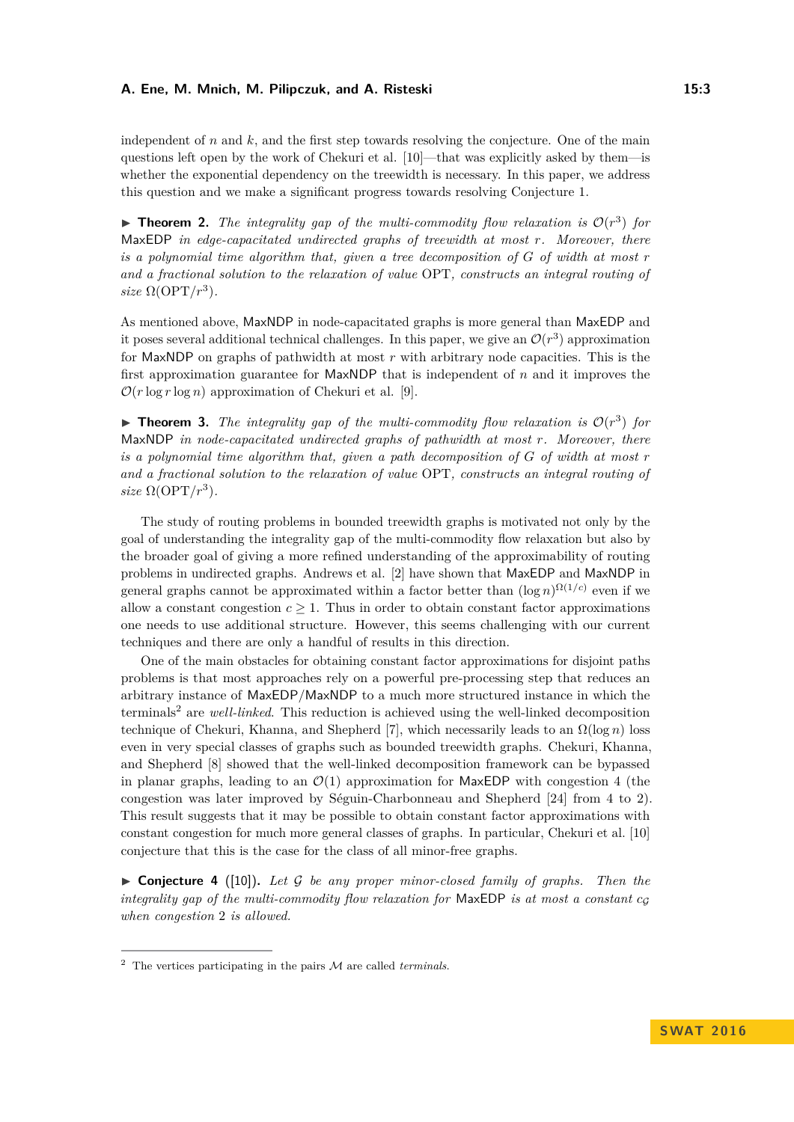independent of *n* and *k*, and the first step towards resolving the conjecture. One of the main questions left open by the work of Chekuri et al. [\[10\]](#page-13-6)—that was explicitly asked by them—is whether the exponential dependency on the treewidth is necessary. In this paper, we address this question and we make a significant progress towards resolving Conjecture [1.](#page-1-1)

**Theorem 2.** The integrality gap of the multi-commodity flow relaxation is  $O(r^3)$  for MaxEDP *in edge-capacitated undirected graphs of treewidth at most r. Moreover, there is a polynomial time algorithm that, given a tree decomposition of G of width at most r and a fractional solution to the relaxation of value* OPT*, constructs an integral routing of size*  $\Omega(\text{OPT}/r^3)$ *.* 

As mentioned above, MaxNDP in node-capacitated graphs is more general than MaxEDP and it poses several additional technical challenges. In this paper, we give an  $\mathcal{O}(r^3)$  approximation for MaxNDP on graphs of pathwidth at most *r* with arbitrary node capacities. This is the first approximation guarantee for MaxNDP that is independent of *n* and it improves the  $\mathcal{O}(r \log r \log n)$  approximation of Chekuri et al. [\[9\]](#page-13-5).

**Theorem 3.** The integrality gap of the multi-commodity flow relaxation is  $O(r^3)$  for MaxNDP *in node-capacitated undirected graphs of pathwidth at most r. Moreover, there is a polynomial time algorithm that, given a path decomposition of G of width at most r and a fractional solution to the relaxation of value* OPT*, constructs an integral routing of size*  $\Omega(\text{OPT}/r^3)$ *.* 

The study of routing problems in bounded treewidth graphs is motivated not only by the goal of understanding the integrality gap of the multi-commodity flow relaxation but also by the broader goal of giving a more refined understanding of the approximability of routing problems in undirected graphs. Andrews et al. [\[2\]](#page-13-1) have shown that MaxEDP and MaxNDP in general graphs cannot be approximated within a factor better than  $(\log n)^{\Omega(1/c)}$  even if we allow a constant congestion  $c \geq 1$ . Thus in order to obtain constant factor approximations one needs to use additional structure. However, this seems challenging with our current techniques and there are only a handful of results in this direction.

One of the main obstacles for obtaining constant factor approximations for disjoint paths problems is that most approaches rely on a powerful pre-processing step that reduces an arbitrary instance of MaxEDP/MaxNDP to a much more structured instance in which the terminals[2](#page-2-0) are *well-linked*. This reduction is achieved using the well-linked decomposition technique of Chekuri, Khanna, and Shepherd [\[7\]](#page-13-7), which necessarily leads to an  $\Omega(\log n)$  loss even in very special classes of graphs such as bounded treewidth graphs. Chekuri, Khanna, and Shepherd [\[8\]](#page-13-8) showed that the well-linked decomposition framework can be bypassed in planar graphs, leading to an  $\mathcal{O}(1)$  approximation for MaxEDP with congestion 4 (the congestion was later improved by Séguin-Charbonneau and Shepherd [\[24\]](#page-14-5) from 4 to 2). This result suggests that it may be possible to obtain constant factor approximations with constant congestion for much more general classes of graphs. In particular, Chekuri et al. [\[10\]](#page-13-6) conjecture that this is the case for the class of all minor-free graphs.

<span id="page-2-1"></span> $\triangleright$  **Conjecture 4** ([\[10\]](#page-13-6)). Let G be any proper minor-closed family of graphs. Then the *integrality gap of the multi-commodity flow relaxation for* MaxEDP *is at most a constant*  $c_G$ *when congestion* 2 *is allowed.*

<span id="page-2-0"></span><sup>2</sup> The vertices participating in the pairs M are called *terminals*.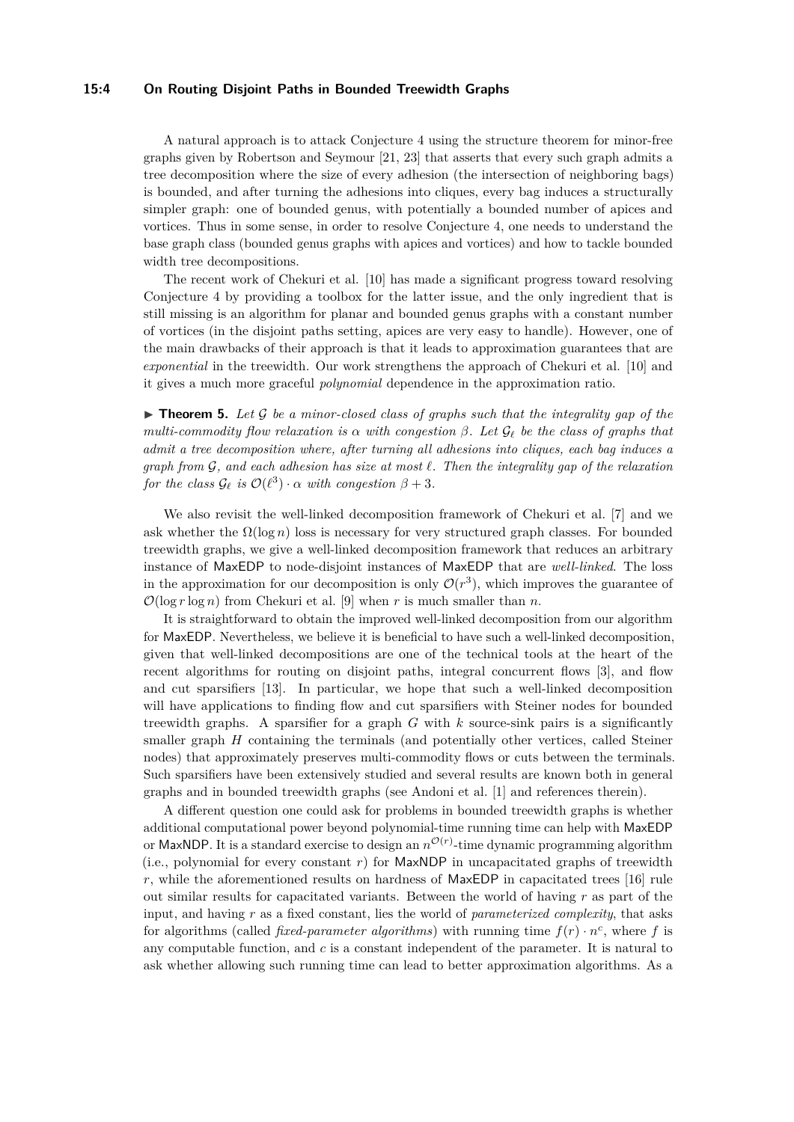### **15:4 On Routing Disjoint Paths in Bounded Treewidth Graphs**

A natural approach is to attack Conjecture [4](#page-2-1) using the structure theorem for minor-free graphs given by Robertson and Seymour [\[21,](#page-14-6) [23\]](#page-14-7) that asserts that every such graph admits a tree decomposition where the size of every adhesion (the intersection of neighboring bags) is bounded, and after turning the adhesions into cliques, every bag induces a structurally simpler graph: one of bounded genus, with potentially a bounded number of apices and vortices. Thus in some sense, in order to resolve Conjecture [4,](#page-2-1) one needs to understand the base graph class (bounded genus graphs with apices and vortices) and how to tackle bounded width tree decompositions.

The recent work of Chekuri et al. [\[10\]](#page-13-6) has made a significant progress toward resolving Conjecture [4](#page-2-1) by providing a toolbox for the latter issue, and the only ingredient that is still missing is an algorithm for planar and bounded genus graphs with a constant number of vortices (in the disjoint paths setting, apices are very easy to handle). However, one of the main drawbacks of their approach is that it leads to approximation guarantees that are *exponential* in the treewidth. Our work strengthens the approach of Chekuri et al. [\[10\]](#page-13-6) and it gives a much more graceful *polynomial* dependence in the approximation ratio.

 $\triangleright$  **Theorem 5.** Let G be a minor-closed class of graphs such that the integrality gap of the *multi-commodity flow relaxation is*  $\alpha$  *with congestion*  $\beta$ *. Let*  $\mathcal{G}_\ell$  *be the class of graphs that admit a tree decomposition where, after turning all adhesions into cliques, each bag induces a graph from* G*, and each adhesion has size at most `. Then the integrality gap of the relaxation*  $f$ *or the class*  $\mathcal{G}_{\ell}$  *is*  $\mathcal{O}(\ell^3) \cdot \alpha$  *with congestion*  $\beta + 3$ *.* 

We also revisit the well-linked decomposition framework of Chekuri et al. [\[7\]](#page-13-7) and we ask whether the  $\Omega(\log n)$  loss is necessary for very structured graph classes. For bounded treewidth graphs, we give a well-linked decomposition framework that reduces an arbitrary instance of MaxEDP to node-disjoint instances of MaxEDP that are *well-linked*. The loss in the approximation for our decomposition is only  $\mathcal{O}(r^3)$ , which improves the guarantee of  $\mathcal{O}(\log r \log n)$  from Chekuri et al. [\[9\]](#page-13-5) when r is much smaller than n.

It is straightforward to obtain the improved well-linked decomposition from our algorithm for MaxEDP. Nevertheless, we believe it is beneficial to have such a well-linked decomposition, given that well-linked decompositions are one of the technical tools at the heart of the recent algorithms for routing on disjoint paths, integral concurrent flows [\[3\]](#page-13-9), and flow and cut sparsifiers [\[13\]](#page-13-10). In particular, we hope that such a well-linked decomposition will have applications to finding flow and cut sparsifiers with Steiner nodes for bounded treewidth graphs. A sparsifier for a graph *G* with *k* source-sink pairs is a significantly smaller graph *H* containing the terminals (and potentially other vertices, called Steiner nodes) that approximately preserves multi-commodity flows or cuts between the terminals. Such sparsifiers have been extensively studied and several results are known both in general graphs and in bounded treewidth graphs (see Andoni et al. [\[1\]](#page-13-11) and references therein).

A different question one could ask for problems in bounded treewidth graphs is whether additional computational power beyond polynomial-time running time can help with MaxEDP or MaxNDP. It is a standard exercise to design an  $n^{\mathcal{O}(r)}$ -time dynamic programming algorithm (i.e., polynomial for every constant  $r$ ) for  $MaxNDP$  in uncapacitated graphs of treewidth *r*, while the aforementioned results on hardness of MaxEDP in capacitated trees [\[16\]](#page-14-3) rule out similar results for capacitated variants. Between the world of having *r* as part of the input, and having *r* as a fixed constant, lies the world of *parameterized complexity*, that asks for algorithms (called *fixed-parameter algorithms*) with running time  $f(r) \cdot n^c$ , where f is any computable function, and *c* is a constant independent of the parameter. It is natural to ask whether allowing such running time can lead to better approximation algorithms. As a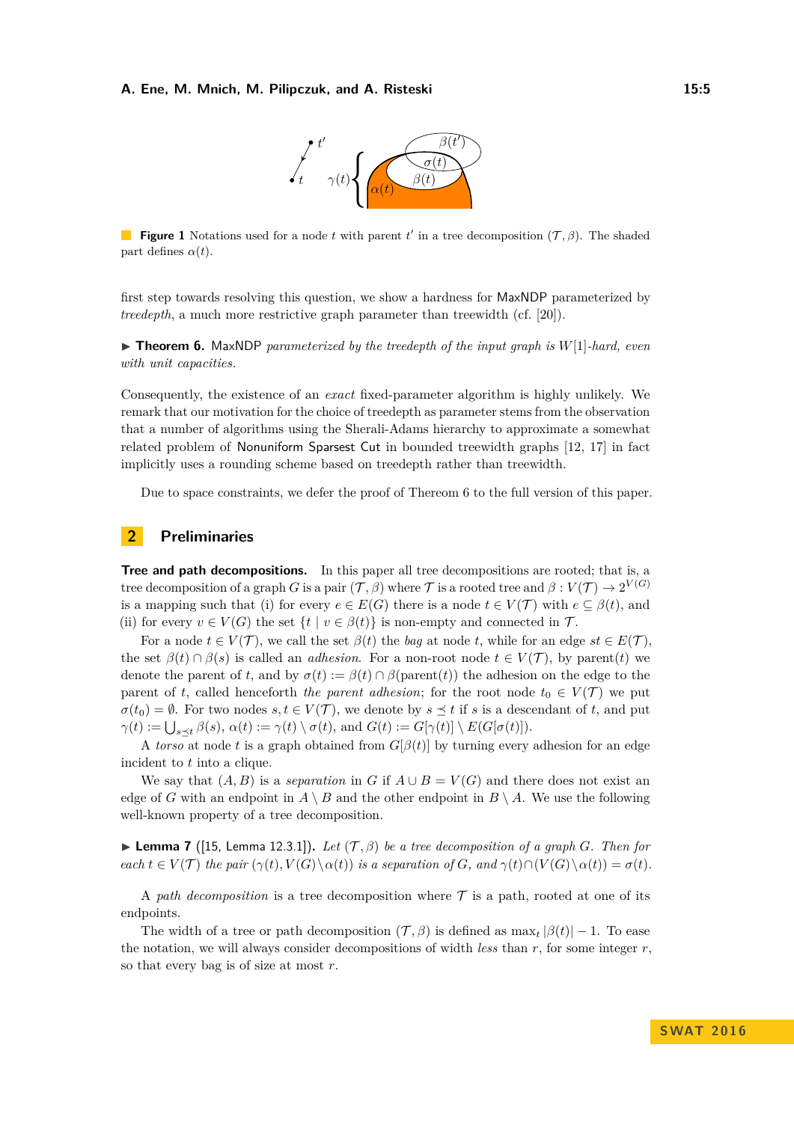

**Figure 1** Notations used for a node *t* with parent *t'* in a tree decomposition  $(\mathcal{T}, \beta)$ . The shaded part defines  $\alpha(t)$ .

first step towards resolving this question, we show a hardness for MaxNDP parameterized by *treedepth*, a much more restrictive graph parameter than treewidth (cf. [\[20\]](#page-14-8)).

<span id="page-4-0"></span> $\triangleright$  **Theorem 6.** MaxNDP *parameterized by the treedepth of the input graph is*  $W[1]$ *-hard, even with unit capacities.*

Consequently, the existence of an *exact* fixed-parameter algorithm is highly unlikely. We remark that our motivation for the choice of treedepth as parameter stems from the observation that a number of algorithms using the Sherali-Adams hierarchy to approximate a somewhat related problem of Nonuniform Sparsest Cut in bounded treewidth graphs [\[12,](#page-13-12) [17\]](#page-14-9) in fact implicitly uses a rounding scheme based on treedepth rather than treewidth.

Due to space constraints, we defer the proof of Thereom [6](#page-4-0) to the full version of this paper.

# <span id="page-4-1"></span>**2 Preliminaries**

**Tree and path decompositions.** In this paper all tree decompositions are rooted; that is, a tree decomposition of a graph *G* is a pair  $(\mathcal{T}, \beta)$  where  $\mathcal{T}$  is a rooted tree and  $\beta: V(\mathcal{T}) \to 2^{V(G)}$ is a mapping such that (i) for every  $e \in E(G)$  there is a node  $t \in V(\mathcal{T})$  with  $e \subseteq \beta(t)$ , and (ii) for every  $v \in V(G)$  the set  $\{t \mid v \in \beta(t)\}$  is non-empty and connected in  $\mathcal{T}$ .

For a node  $t \in V(\mathcal{T})$ , we call the set  $\beta(t)$  the *bag* at node *t*, while for an edge  $st \in E(\mathcal{T})$ . the set  $\beta(t) \cap \beta(s)$  is called an *adhesion*. For a non-root node  $t \in V(\mathcal{T})$ , by parent(*t*) we denote the parent of *t*, and by  $\sigma(t) := \beta(t) \cap \beta(\text{parent}(t))$  the adhesion on the edge to the parent of *t*, called henceforth *the parent adhesion*; for the root node  $t_0 \in V(\mathcal{T})$  we put  $\sigma(t_0) = \emptyset$ . For two nodes  $s, t \in V(\mathcal{T})$ , we denote by  $s \leq t$  if *s* is a descendant of *t*, and put  $\gamma(t) := \bigcup_{s \preceq t} \beta(s), \ \alpha(t) := \gamma(t) \setminus \sigma(t), \text{ and } G(t) := G[\gamma(t)] \setminus E(G[\sigma(t)]).$ 

A *torso* at node *t* is a graph obtained from  $G[\beta(t)]$  by turning every adhesion for an edge incident to *t* into a clique.

We say that  $(A, B)$  is a *separation* in *G* if  $A \cup B = V(G)$  and there does not exist an edge of *G* with an endpoint in  $A \setminus B$  and the other endpoint in  $B \setminus A$ . We use the following well-known property of a tree decomposition.

<span id="page-4-2"></span>**Example 12.5. Lemma 12.3.1]**. *Let*  $(\mathcal{T}, \beta)$  *be a tree decomposition of a graph G. Then for* each  $t \in V(\mathcal{T})$  the pair  $(\gamma(t), V(G) \setminus \alpha(t))$  is a separation of G, and  $\gamma(t) \cap (V(G) \setminus \alpha(t)) = \sigma(t)$ .

A *path decomposition* is a tree decomposition where  $\mathcal T$  is a path, rooted at one of its endpoints.

The width of a tree or path decomposition  $(\mathcal{T}, \beta)$  is defined as  $\max_t |\beta(t)| - 1$ . To ease the notation, we will always consider decompositions of width *less* than  $r$ , for some integer  $r$ , so that every bag is of size at most *r*.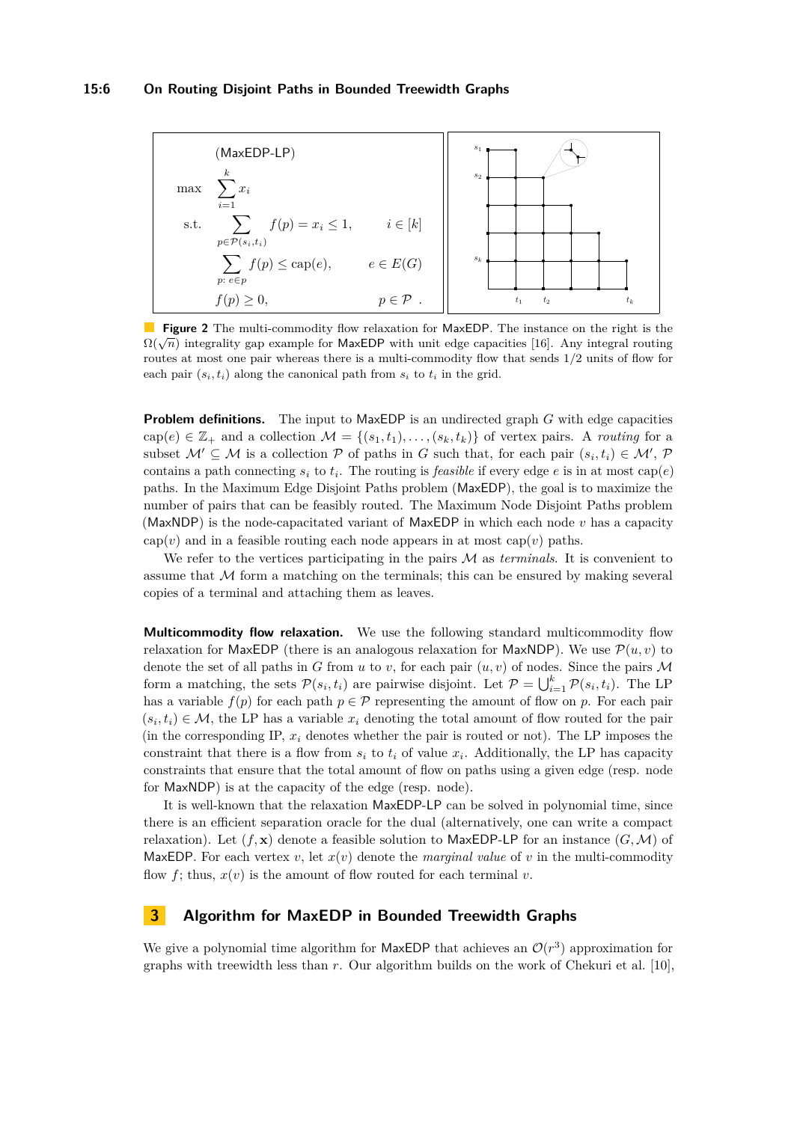<span id="page-5-0"></span>

**Figure 2** The multi-commodity flow relaxation for MaxEDP. The instance on the right is the  $\Omega(\sqrt{n})$  integrality gap example for MaxEDP with unit edge capacities [\[16\]](#page-14-3). Any integral routing  $\Omega(\sqrt{n})$ routes at most one pair whereas there is a multi-commodity flow that sends 1*/*2 units of flow for each pair  $(s_i, t_i)$  along the canonical path from  $s_i$  to  $t_i$  in the grid.

**Problem definitions.** The input to MaxEDP is an undirected graph *G* with edge capacities  $cap(e) \in \mathbb{Z}_+$  and a collection  $\mathcal{M} = \{(s_1, t_1), \ldots, (s_k, t_k)\}\$  of vertex pairs. A *routing* for a subset  $M' \subseteq M$  is a collection  $P$  of paths in *G* such that, for each pair  $(s_i, t_i) \in M'$ ,  $P$ contains a path connecting  $s_i$  to  $t_i$ . The routing is *feasible* if every edge *e* is in at most  $cap(e)$ paths. In the Maximum Edge Disjoint Paths problem (MaxEDP), the goal is to maximize the number of pairs that can be feasibly routed. The Maximum Node Disjoint Paths problem (MaxNDP) is the node-capacitated variant of MaxEDP in which each node *v* has a capacity cap( $v$ ) and in a feasible routing each node appears in at most cap( $v$ ) paths.

We refer to the vertices participating in the pairs M as *terminals*. It is convenient to assume that  $M$  form a matching on the terminals; this can be ensured by making several copies of a terminal and attaching them as leaves.

**Multicommodity flow relaxation.** We use the following standard multicommodity flow relaxation for MaxEDP (there is an analogous relaxation for MaxNDP). We use  $\mathcal{P}(u, v)$  to denote the set of all paths in *G* from *u* to *v*, for each pair  $(u, v)$  of nodes. Since the pairs M form a matching, the sets  $\mathcal{P}(s_i, t_i)$  are pairwise disjoint. Let  $\mathcal{P} = \bigcup_{i=1}^k \mathcal{P}(s_i, t_i)$ . The LP has a variable  $f(p)$  for each path  $p \in \mathcal{P}$  representing the amount of flow on  $p$ . For each pair  $(s_i, t_i) \in \mathcal{M}$ , the LP has a variable  $x_i$  denoting the total amount of flow routed for the pair (in the corresponding IP,  $x_i$  denotes whether the pair is routed or not). The LP imposes the constraint that there is a flow from  $s_i$  to  $t_i$  of value  $x_i$ . Additionally, the LP has capacity constraints that ensure that the total amount of flow on paths using a given edge (resp. node for MaxNDP) is at the capacity of the edge (resp. node).

It is well-known that the relaxation MaxEDP-LP can be solved in polynomial time, since there is an efficient separation oracle for the dual (alternatively, one can write a compact relaxation). Let  $(f, x)$  denote a feasible solution to MaxEDP-LP for an instance  $(G, \mathcal{M})$  of MaxEDP. For each vertex  $v$ , let  $x(v)$  denote the *marginal value* of  $v$  in the multi-commodity flow  $f$ ; thus,  $x(v)$  is the amount of flow routed for each terminal  $v$ .

# **3 Algorithm for MaxEDP in Bounded Treewidth Graphs**

We give a polynomial time algorithm for MaxEDP that achieves an  $\mathcal{O}(r^3)$  approximation for graphs with treewidth less than *r*. Our algorithm builds on the work of Chekuri et al. [\[10\]](#page-13-6),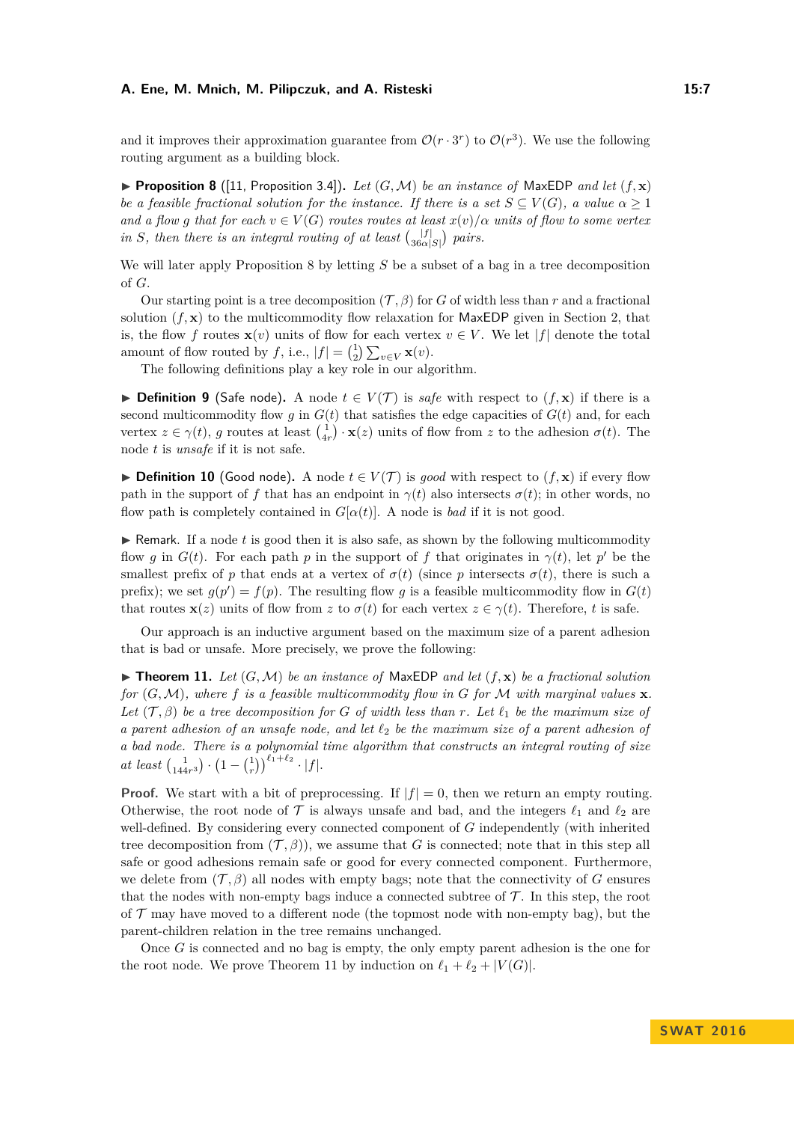<span id="page-6-0"></span>**Proposition 8** ([\[11,](#page-13-14) Proposition 3.4]). Let  $(G, \mathcal{M})$  be an instance of MaxEDP and let  $(f, \mathbf{x})$ *be a feasible fractional solution for the instance. If there is a set*  $S \subseteq V(G)$ , a value  $\alpha \geq 1$ *and a flow g that for each*  $v \in V(G)$  *routes routes at least*  $x(v)/\alpha$  *units of flow to some vertex* in *S*, then there is an integral routing of at least  $\binom{|f|}{360}$  $\frac{|f|}{36\alpha|S|}$  pairs.

We will later apply Proposition [8](#page-6-0) by letting *S* be a subset of a bag in a tree decomposition of *G*.

Our starting point is a tree decomposition  $(\mathcal{T}, \beta)$  for *G* of width less than *r* and a fractional solution  $(f, x)$  to the multicommodity flow relaxation for MaxEDP given in Section [2,](#page-4-1) that is, the flow *f* routes  $\mathbf{x}(v)$  units of flow for each vertex  $v \in V$ . We let |*f*| denote the total amount of flow routed by *f*, i.e.,  $|f| = \binom{1}{2} \sum_{v \in V} \mathbf{x}(v)$ .

The following definitions play a key role in our algorithm.

**► Definition 9** (Safe node). A node  $t \in V(T)$  is *safe* with respect to  $(f, \mathbf{x})$  if there is a second multicommodity flow *g* in  $G(t)$  that satisfies the edge capacities of  $G(t)$  and, for each vertex  $z \in \gamma(t)$ , *g* routes at least  $\begin{pmatrix} 1 \\ 4r \end{pmatrix} \cdot \mathbf{x}(z)$  units of flow from *z* to the adhesion  $\sigma(t)$ . The node *t* is *unsafe* if it is not safe.

**► Definition 10** (Good node). A node  $t \in V(\mathcal{T})$  is good with respect to  $(f, \mathbf{x})$  if every flow path in the support of *f* that has an endpoint in  $\gamma(t)$  also intersects  $\sigma(t)$ ; in other words, no flow path is completely contained in  $G[\alpha(t)]$ . A node is *bad* if it is not good.

 $\blacktriangleright$  Remark. If a node t is good then it is also safe, as shown by the following multicommodity flow *g* in  $G(t)$ . For each path *p* in the support of *f* that originates in  $\gamma(t)$ , let *p*<sup>'</sup> be the smallest prefix of *p* that ends at a vertex of  $\sigma(t)$  (since *p* intersects  $\sigma(t)$ , there is such a prefix); we set  $g(p') = f(p)$ . The resulting flow g is a feasible multicommodity flow in  $G(t)$ that routes  $\mathbf{x}(z)$  units of flow from *z* to  $\sigma(t)$  for each vertex  $z \in \gamma(t)$ . Therefore, *t* is safe.

Our approach is an inductive argument based on the maximum size of a parent adhesion that is bad or unsafe. More precisely, we prove the following:

<span id="page-6-1"></span> $\triangleright$  **Theorem 11.** Let  $(G, \mathcal{M})$  be an instance of MaxEDP and let  $(f, \mathbf{x})$  be a fractional solution *for* (*G,*M)*, where f is a feasible multicommodity flow in G for* M *with marginal values* **x***. Let*  $(\mathcal{T}, \beta)$  *be a tree decomposition for G of width less than r. Let*  $\ell_1$  *be the maximum size of a parent adhesion of an unsafe node, and let `*<sup>2</sup> *be the maximum size of a parent adhesion of a bad node. There is a polynomial time algorithm that constructs an integral routing of size at least*  $\binom{1}{144r^3} \cdot \left(1 - \binom{1}{r}\right)^{\ell_1 + \ell_2} \cdot |f|.$ 

**Proof.** We start with a bit of preprocessing. If  $|f| = 0$ , then we return an empty routing. Otherwise, the root node of  $\mathcal T$  is always unsafe and bad, and the integers  $\ell_1$  and  $\ell_2$  are well-defined. By considering every connected component of *G* independently (with inherited tree decomposition from  $(\mathcal{T}, \beta)$ ), we assume that *G* is connected; note that in this step all safe or good adhesions remain safe or good for every connected component. Furthermore, we delete from  $(\mathcal{T}, \beta)$  all nodes with empty bags; note that the connectivity of *G* ensures that the nodes with non-empty bags induce a connected subtree of  $\mathcal T$ . In this step, the root of  $\mathcal T$  may have moved to a different node (the topmost node with non-empty bag), but the parent-children relation in the tree remains unchanged.

Once *G* is connected and no bag is empty, the only empty parent adhesion is the one for the root node. We prove Theorem [11](#page-6-1) by induction on  $\ell_1 + \ell_2 + |V(G)|$ .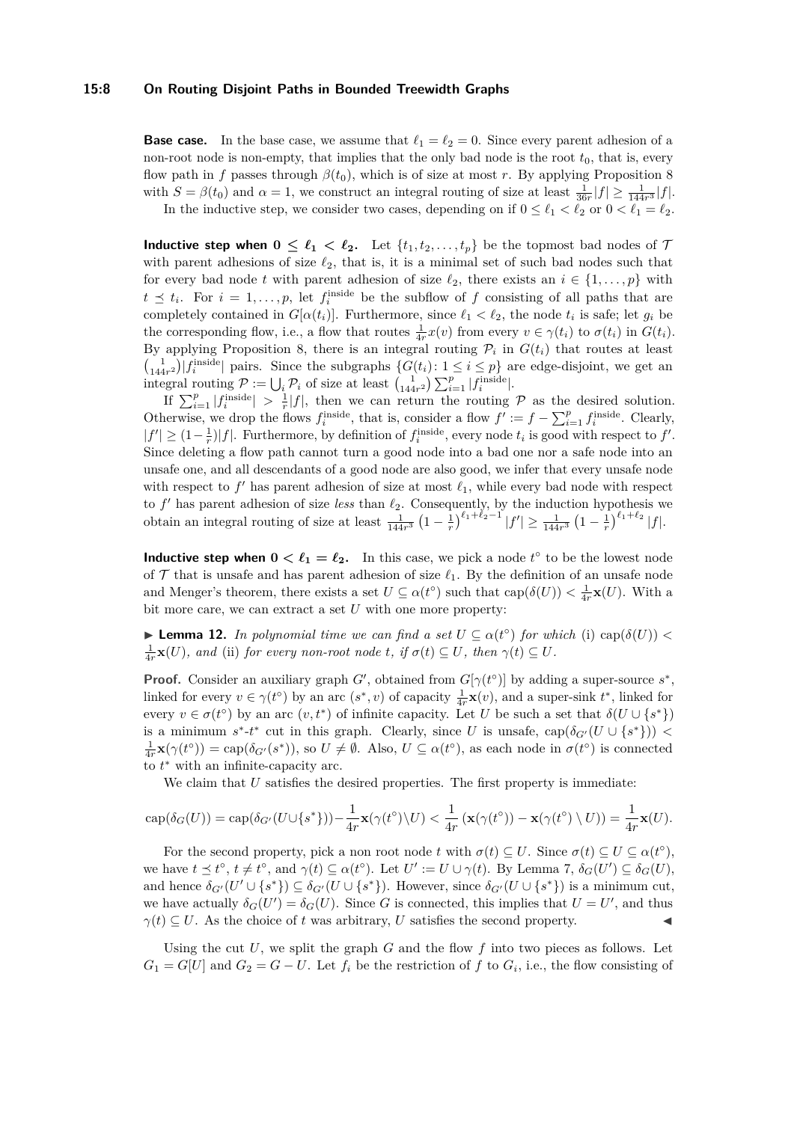#### **15:8 On Routing Disjoint Paths in Bounded Treewidth Graphs**

**Base case.** In the base case, we assume that  $\ell_1 = \ell_2 = 0$ . Since every parent adhesion of a non-root node is non-empty, that implies that the only bad node is the root  $t_0$ , that is, every flow path in *f* passes through  $\beta(t_0)$ , which is of size at most *r*. By applying Proposition [8](#page-6-0) with  $S = \beta(t_0)$  and  $\alpha = 1$ , we construct an integral routing of size at least  $\frac{1}{36r}|f| \ge \frac{1}{144r^3}|f|$ . In the inductive step, we consider two cases, depending on if  $0 \leq \ell_1 < \ell_2$  or  $0 < \ell_1 = \ell_2$ .

**Inductive step when**  $0 \leq \ell_1 < \ell_2$ . Let  $\{t_1, t_2, \ldots, t_p\}$  be the topmost bad nodes of  $\mathcal{T}$ with parent adhesions of size  $\ell_2$ , that is, it is a minimal set of such bad nodes such that for every bad node *t* with parent adhesion of size  $\ell_2$ , there exists an  $i \in \{1, \ldots, p\}$  with  $t \leq t_i$ . For  $i = 1, \ldots, p$ , let  $f_i^{\text{inside}}$  be the subflow of *f* consisting of all paths that are completely contained in  $G[\alpha(t_i)]$ . Furthermore, since  $\ell_1 < \ell_2$ , the node  $t_i$  is safe; let  $g_i$  be the corresponding flow, i.e., a flow that routes  $\frac{1}{4r}x(v)$  from every  $v \in \gamma(t_i)$  to  $\sigma(t_i)$  in  $G(t_i)$ . By applying Proposition [8,](#page-6-0) there is an integral routing  $P_i$  in  $G(t_i)$  that routes at least  $\binom{1}{144r^2}$  finside pairs. Since the subgraphs  $\{G(t_i): 1 \le i \le p\}$  are edge-disjoint, we get an integral routing  $P := \bigcup_i P_i$  of size at least  $\begin{pmatrix} 1 \\ 144r^2 \end{pmatrix} \sum_{i=1}^p |f_i^{\text{inside}}|$ .

If  $\sum_{i=1}^p |f_i^{\text{inside}}| > \frac{1}{r}|f|$ , then we can return the routing P as the desired solution. Otherwise, we drop the flows  $f_i^{\text{inside}}$ , that is, consider a flow  $f' := f - \sum_{i=1}^p f_i^{\text{inside}}$ . Clearly,  $|f'| \geq (1 - \frac{1}{r})|f|$ . Furthermore, by definition of  $f_i^{\text{inside}}$ , every node  $t_i$  is good with respect to  $f'$ . Since deleting a flow path cannot turn a good node into a bad one nor a safe node into an unsafe one, and all descendants of a good node are also good, we infer that every unsafe node with respect to  $f'$  has parent adhesion of size at most  $\ell_1$ , while every bad node with respect to  $f'$  has parent adhesion of size *less* than  $\ell_2$ . Consequently, by the induction hypothesis we obtain an integral routing of size at least  $\frac{1}{144r^3} \left(1 - \frac{1}{r}\right)^{\ell_1 + \ell_2 - 1} |f'| \ge \frac{1}{144r^3} \left(1 - \frac{1}{r}\right)^{\ell_1 + \ell_2} |f|.$ 

**Inductive step when**  $0 < \ell_1 = \ell_2$ . In this case, we pick a node  $t^{\circ}$  to be the lowest node of  $\mathcal T$  that is unsafe and has parent adhesion of size  $\ell_1$ . By the definition of an unsafe node and Menger's theorem, there exists a set  $U \subseteq \alpha(t^{\circ})$  such that  $\text{cap}(\delta(U)) < \frac{1}{4r}\mathbf{x}(U)$ . With a bit more care, we can extract a set *U* with one more property:

<span id="page-7-0"></span>► **Lemma 12.** *In polynomial time we can find a set*  $U \subseteq \alpha(t^{\circ})$  *for which* (i) cap( $\delta(U)$ ) <  $\frac{1}{4r}\mathbf{x}(U)$ *, and* (ii) *for every non-root node t, if*  $\sigma(t) \subseteq U$ *, then*  $\gamma(t) \subseteq U$ *.* 

**Proof.** Consider an auxiliary graph *G*<sup> $\prime$ </sup>, obtained from *G*[ $\gamma$ ( $t$ <sup>o</sup>)] by adding a super-source  $s^*$ , linked for every  $v \in \gamma(t^{\circ})$  by an arc  $(s^*, v)$  of capacity  $\frac{1}{4r}\mathbf{x}(v)$ , and a super-sink  $t^*$ , linked for every  $v \in \sigma(t^{\circ})$  by an arc  $(v, t^*)$  of infinite capacity. Let *U* be such a set that  $\delta(U \cup \{s^*\})$ is a minimum  $s^*$ -*t*<sup>\*</sup> cut in this graph. Clearly, since *U* is unsafe, cap( $\delta_{G'}(U \cup \{s^*\})$ ) <  $\frac{1}{4r}\mathbf{x}(\gamma(t^{\circ})) = \text{cap}(\delta_{G'}(s^{\ast})),$  so  $U \neq \emptyset$ . Also,  $U \subseteq \alpha(t^{\circ}),$  as each node in  $\sigma(t^{\circ})$  is connected to  $t^*$  with an infinite-capacity arc.

We claim that *U* satisfies the desired properties. The first property is immediate:

$$
\operatorname{cap}(\delta_G(U)) = \operatorname{cap}(\delta_{G'}(U \cup \{s^*\})) - \frac{1}{4r}\mathbf{x}(\gamma(t^{\circ}) \setminus U) < \frac{1}{4r} \left( \mathbf{x}(\gamma(t^{\circ})) - \mathbf{x}(\gamma(t^{\circ}) \setminus U) \right) = \frac{1}{4r}\mathbf{x}(U).
$$

For the second property, pick a non root node *t* with  $\sigma(t) \subseteq U$ . Since  $\sigma(t) \subseteq U \subseteq \alpha(t^{\circ})$ , we have  $t \leq t^{\circ}$ ,  $t \neq t^{\circ}$ , and  $\gamma(t) \subseteq \alpha(t^{\circ})$ . Let  $U' := U \cup \gamma(t)$ . By Lemma [7,](#page-4-2)  $\delta_G(U') \subseteq \delta_G(U)$ , and hence  $\delta_{G'}(U' \cup \{s^*\}) \subseteq \delta_{G'}(U \cup \{s^*\})$ . However, since  $\delta_{G'}(U \cup \{s^*\})$  is a minimum cut, we have actually  $\delta_G(U') = \delta_G(U)$ . Since *G* is connected, this implies that  $U = U'$ , and thus  $\gamma(t) \subseteq U$ . As the choice of *t* was arbitrary, *U* satisfies the second property.

Using the cut *U*, we split the graph *G* and the flow *f* into two pieces as follows. Let  $G_1 = G[U]$  and  $G_2 = G - U$ . Let  $f_i$  be the restriction of  $f$  to  $G_i$ , i.e., the flow consisting of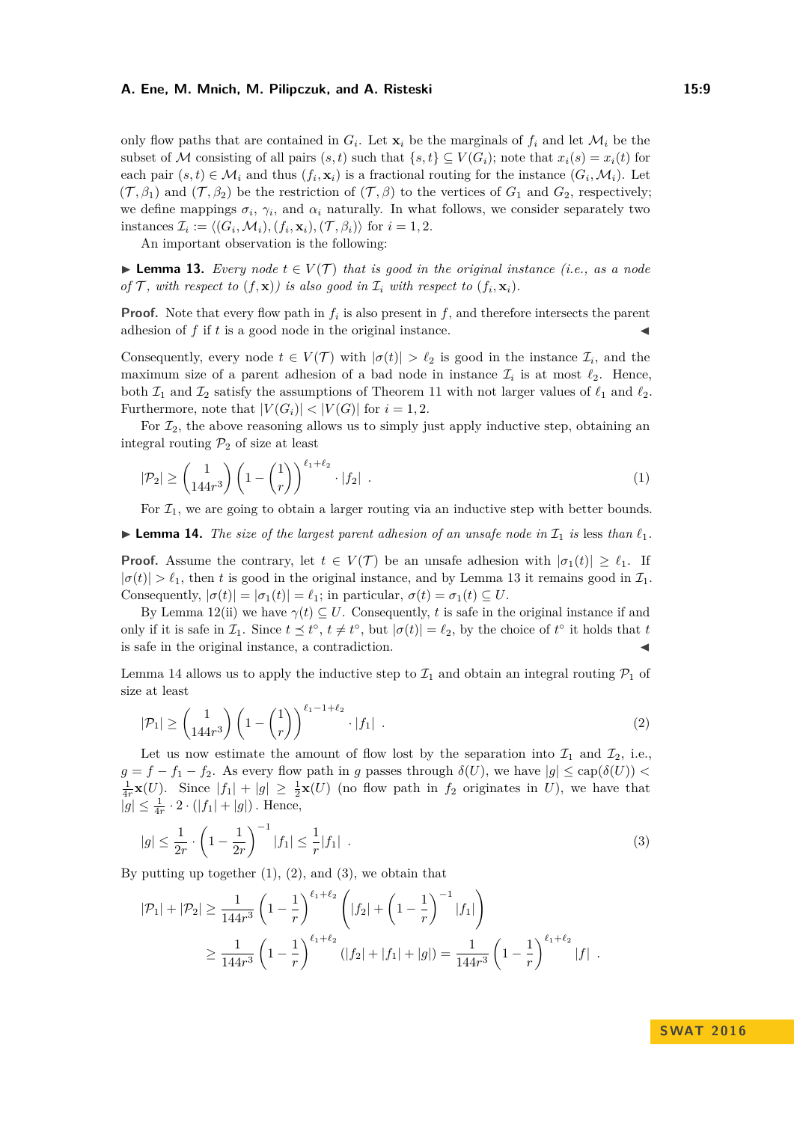only flow paths that are contained in  $G_i$ . Let  $\mathbf{x}_i$  be the marginals of  $f_i$  and let  $\mathcal{M}_i$  be the subset of M consisting of all pairs  $(s, t)$  such that  $\{s, t\} \subseteq V(G_i)$ ; note that  $x_i(s) = x_i(t)$  for each pair  $(s, t) \in \mathcal{M}_i$  and thus  $(f_i, \mathbf{x}_i)$  is a fractional routing for the instance  $(G_i, \mathcal{M}_i)$ . Let  $(\mathcal{T}, \beta_1)$  and  $(\mathcal{T}, \beta_2)$  be the restriction of  $(\mathcal{T}, \beta)$  to the vertices of  $G_1$  and  $G_2$ , respectively; we define mappings  $\sigma_i$ ,  $\gamma_i$ , and  $\alpha_i$  naturally. In what follows, we consider separately two instances  $\mathcal{I}_i := \langle (G_i, \mathcal{M}_i), (f_i, \mathbf{x}_i), (\mathcal{T}, \beta_i) \rangle$  for  $i = 1, 2$ .

An important observation is the following:

<span id="page-8-0"></span>**► Lemma 13.** *Every node*  $t \in V(T)$  *that is good in the original instance (i.e., as a node of*  $\mathcal{T}$ *, with respect to*  $(f, \mathbf{x})$ *) is also good in*  $\mathcal{I}_i$  *with respect to*  $(f_i, \mathbf{x}_i)$ *.* 

**Proof.** Note that every flow path in  $f_i$  is also present in  $f$ , and therefore intersects the parent adhesion of  $f$  if  $t$  is a good node in the original instance.

Consequently, every node  $t \in V(\mathcal{T})$  with  $|\sigma(t)| > l_2$  is good in the instance  $\mathcal{I}_i$ , and the maximum size of a parent adhesion of a bad node in instance  $\mathcal{I}_i$  is at most  $\ell_2$ . Hence, both  $\mathcal{I}_1$  and  $\mathcal{I}_2$  satisfy the assumptions of Theorem [11](#page-6-1) with not larger values of  $\ell_1$  and  $\ell_2$ . Furthermore, note that  $|V(G_i)| < |V(G)|$  for  $i = 1, 2$ .

For  $\mathcal{I}_2$ , the above reasoning allows us to simply just apply inductive step, obtaining an integral routing  $\mathcal{P}_2$  of size at least

<span id="page-8-2"></span>
$$
|\mathcal{P}_2| \ge \binom{1}{144r^3} \left(1 - \binom{1}{r}\right)^{\ell_1 + \ell_2} \cdot |f_2| \tag{1}
$$

For  $\mathcal{I}_1$ , we are going to obtain a larger routing via an inductive step with better bounds.

<span id="page-8-1"></span>**Example 14.** The size of the largest parent adhesion of an unsafe node in  $\mathcal{I}_1$  is less than  $\ell_1$ .

**Proof.** Assume the contrary, let  $t \in V(\mathcal{T})$  be an unsafe adhesion with  $|\sigma_1(t)| \geq \ell_1$ . If  $|\sigma(t)| > \ell_1$ , then *t* is good in the original instance, and by Lemma [13](#page-8-0) it remains good in  $\mathcal{I}_1$ . Consequently,  $|\sigma(t)| = |\sigma_1(t)| = \ell_1$ ; in particular,  $\sigma(t) = \sigma_1(t) \subseteq U$ .

By Lemma [12\(](#page-7-0)ii) we have  $\gamma(t) \subseteq U$ . Consequently, *t* is safe in the original instance if and only if it is safe in  $\mathcal{I}_1$ . Since  $t \leq t^{\circ}$ ,  $t \neq t^{\circ}$ , but  $|\sigma(t)| = \ell_2$ , by the choice of  $t^{\circ}$  it holds that  $t$ is safe in the original instance, a contradiction.

Lemma [14](#page-8-1) allows us to apply the inductive step to  $\mathcal{I}_1$  and obtain an integral routing  $\mathcal{P}_1$  of size at least

<span id="page-8-3"></span>
$$
|\mathcal{P}_1| \ge \binom{1}{144r^3} \left(1 - \binom{1}{r}\right)^{\ell_1 - 1 + \ell_2} \cdot |f_1| \tag{2}
$$

Let us now estimate the amount of flow lost by the separation into  $\mathcal{I}_1$  and  $\mathcal{I}_2$ , i.e., *g* = *f* − *f*<sub>1</sub> − *f*<sub>2</sub>. As every flow path in *g* passes through  $\delta$ (*U*), we have  $|g|$  ≤ cap( $\delta$ (*U*)) <  $\frac{1}{4r}$ **x**(*U*). Since  $|f_1| + |g| \geq \frac{1}{2}$ **x**(*U*) (no flow path in  $f_2$  originates in *U*), we have that  $|g| \leq \frac{1}{4r} \cdot 2 \cdot (|f_1| + |g|)$ . Hence,

<span id="page-8-4"></span>
$$
|g| \le \frac{1}{2r} \cdot \left(1 - \frac{1}{2r}\right)^{-1} |f_1| \le \frac{1}{r}|f_1| \tag{3}
$$

By putting up together  $(1)$ ,  $(2)$ , and  $(3)$ , we obtain that

$$
|\mathcal{P}_1| + |\mathcal{P}_2| \ge \frac{1}{144r^3} \left(1 - \frac{1}{r}\right)^{\ell_1 + \ell_2} \left(|f_2| + \left(1 - \frac{1}{r}\right)^{-1} |f_1|\right)
$$
  

$$
\ge \frac{1}{144r^3} \left(1 - \frac{1}{r}\right)^{\ell_1 + \ell_2} (|f_2| + |f_1| + |g|) = \frac{1}{144r^3} \left(1 - \frac{1}{r}\right)^{\ell_1 + \ell_2} |f|.
$$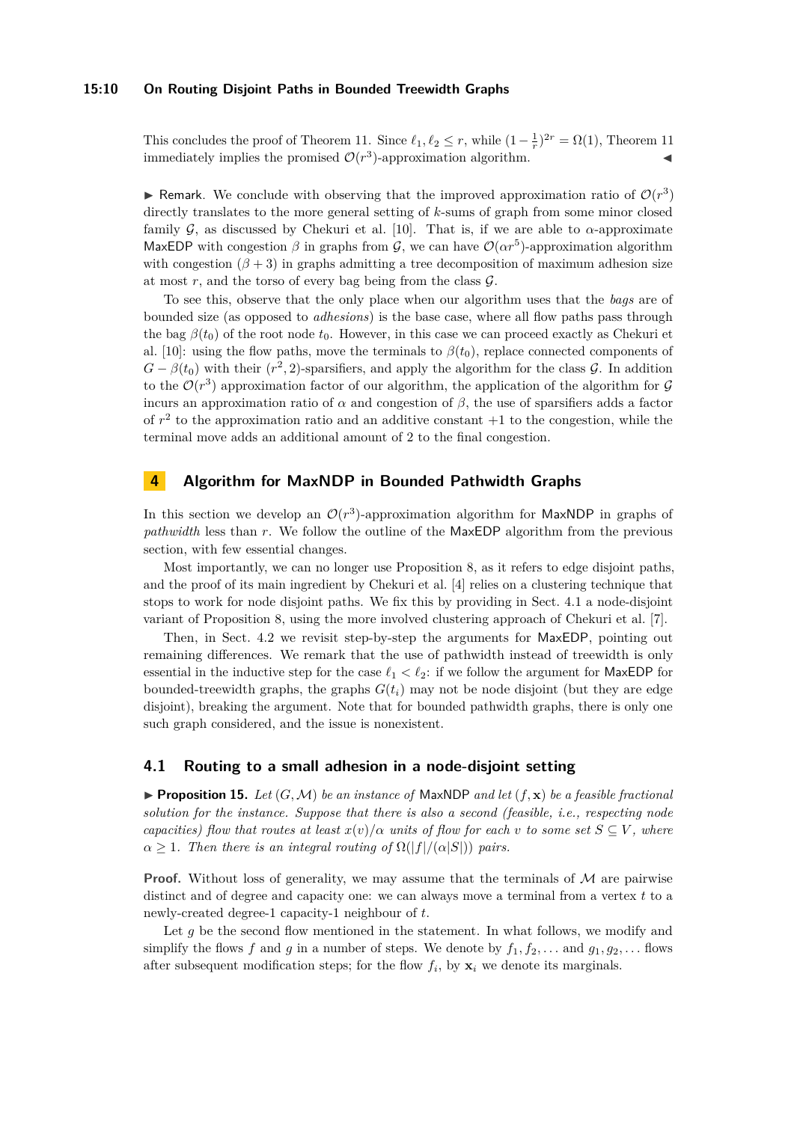## **15:10 On Routing Disjoint Paths in Bounded Treewidth Graphs**

This concludes the proof of Theorem [11.](#page-6-1) Since  $\ell_1, \ell_2 \le r$ , while  $(1 - \frac{1}{r})^{2r} = \Omega(1)$ , Theorem [11](#page-6-1) immediately implies the promised  $\mathcal{O}(r^3)$ -approximation algorithm.

**F** Remark. We conclude with observing that the improved approximation ratio of  $\mathcal{O}(r^3)$ directly translates to the more general setting of *k*-sums of graph from some minor closed family  $G$ , as discussed by Chekuri et al. [\[10\]](#page-13-6). That is, if we are able to  $\alpha$ -approximate MaxEDP with congestion  $\beta$  in graphs from  $\mathcal{G}$ , we can have  $\mathcal{O}(\alpha r^5)$ -approximation algorithm with congestion  $(\beta + 3)$  in graphs admitting a tree decomposition of maximum adhesion size at most  $r$ , and the torso of every bag being from the class  $\mathcal{G}$ .

To see this, observe that the only place when our algorithm uses that the *bags* are of bounded size (as opposed to *adhesions*) is the base case, where all flow paths pass through the bag  $\beta(t_0)$  of the root node  $t_0$ . However, in this case we can proceed exactly as Chekuri et al. [\[10\]](#page-13-6): using the flow paths, move the terminals to  $\beta(t_0)$ , replace connected components of  $G - \beta(t_0)$  with their  $(r^2, 2)$ -sparsifiers, and apply the algorithm for the class  $\mathcal{G}$ . In addition to the  $\mathcal{O}(r^3)$  approximation factor of our algorithm, the application of the algorithm for  $\mathcal G$ incurs an approximation ratio of  $\alpha$  and congestion of  $\beta$ , the use of sparsifiers adds a factor of  $r^2$  to the approximation ratio and an additive constant  $+1$  to the congestion, while the terminal move adds an additional amount of 2 to the final congestion.

## **4 Algorithm for MaxNDP in Bounded Pathwidth Graphs**

In this section we develop an  $\mathcal{O}(r^3)$ -approximation algorithm for MaxNDP in graphs of *pathwidth* less than *r*. We follow the outline of the MaxEDP algorithm from the previous section, with few essential changes.

Most importantly, we can no longer use Proposition [8,](#page-6-0) as it refers to edge disjoint paths, and the proof of its main ingredient by Chekuri et al. [\[4\]](#page-13-0) relies on a clustering technique that stops to work for node disjoint paths. We fix this by providing in Sect. [4.1](#page-9-0) a node-disjoint variant of Proposition [8,](#page-6-0) using the more involved clustering approach of Chekuri et al. [\[7\]](#page-13-7).

Then, in Sect. [4.2](#page-12-0) we revisit step-by-step the arguments for MaxEDP, pointing out remaining differences. We remark that the use of pathwidth instead of treewidth is only essential in the inductive step for the case  $\ell_1 < \ell_2$ : if we follow the argument for MaxEDP for bounded-treewidth graphs, the graphs  $G(t_i)$  may not be node disjoint (but they are edge disjoint), breaking the argument. Note that for bounded pathwidth graphs, there is only one such graph considered, and the issue is nonexistent.

## <span id="page-9-0"></span>**4.1 Routing to a small adhesion in a node-disjoint setting**

<span id="page-9-1"></span>**Proposition 15.** Let  $(G, \mathcal{M})$  be an instance of MaxNDP and let  $(f, \mathbf{x})$  be a feasible fractional *solution for the instance. Suppose that there is also a second (feasible, i.e., respecting node capacities)* flow that routes at least  $x(v)/\alpha$  *units of flow for each v to some set*  $S \subseteq V$ *, where*  $\alpha \geq 1$ *. Then there is an integral routing of*  $\Omega(|f|/(\alpha|S|))$  *pairs.* 

**Proof.** Without loss of generality, we may assume that the terminals of  $M$  are pairwise distinct and of degree and capacity one: we can always move a terminal from a vertex *t* to a newly-created degree-1 capacity-1 neighbour of *t*.

Let *g* be the second flow mentioned in the statement. In what follows, we modify and simplify the flows *f* and *g* in a number of steps. We denote by  $f_1, f_2, \ldots$  and  $g_1, g_2, \ldots$  flows after subsequent modification steps; for the flow  $f_i$ , by  $\mathbf{x}_i$  we denote its marginals.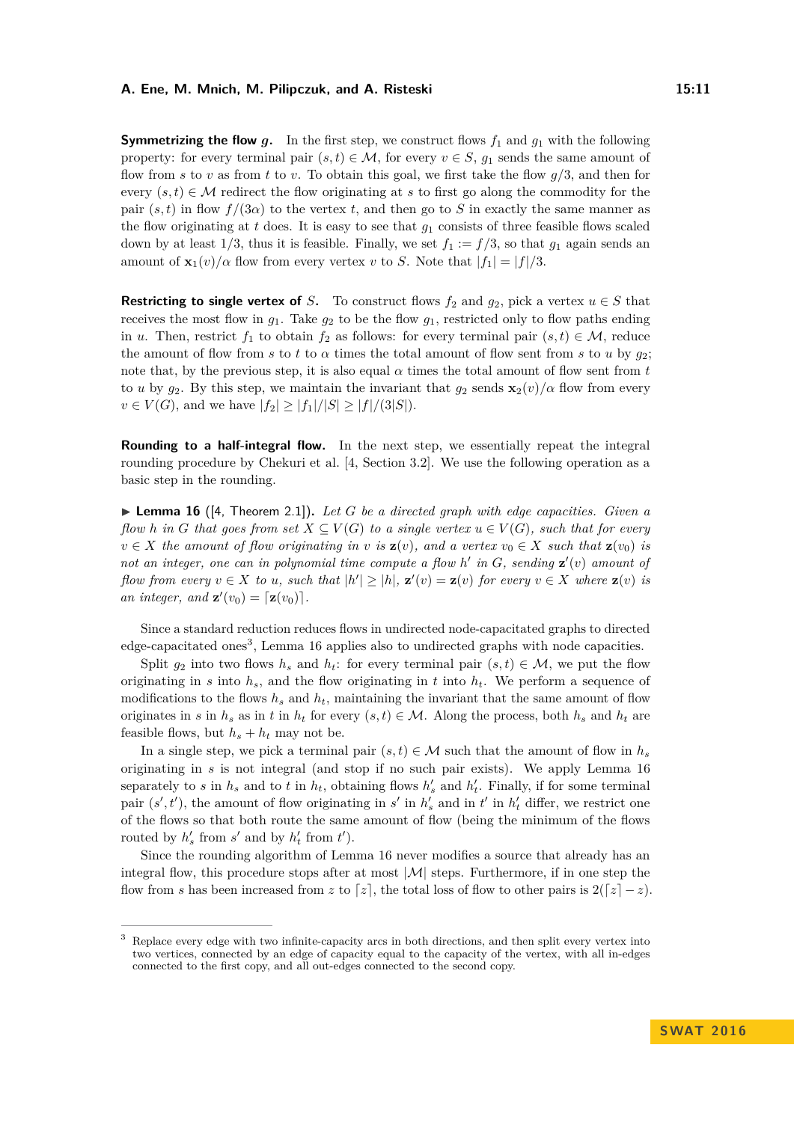**Symmetrizing the flow** *g*. In the first step, we construct flows  $f_1$  and  $g_1$  with the following property: for every terminal pair  $(s, t) \in \mathcal{M}$ , for every  $v \in S$ ,  $g_1$  sends the same amount of flow from *s* to *v* as from *t* to *v*. To obtain this goal, we first take the flow *g/*3, and then for every  $(s, t) \in \mathcal{M}$  redirect the flow originating at *s* to first go along the commodity for the pair  $(s, t)$  in flow  $f/(3\alpha)$  to the vertex *t*, and then go to *S* in exactly the same manner as the flow originating at *t* does. It is easy to see that  $q_1$  consists of three feasible flows scaled down by at least  $1/3$ , thus it is feasible. Finally, we set  $f_1 := f/3$ , so that  $g_1$  again sends an amount of  $\mathbf{x}_1(v)/\alpha$  flow from every vertex *v* to *S*. Note that  $|f_1| = |f|/3$ .

**Restricting to single vertex of** *S***.** To construct flows  $f_2$  and  $g_2$ , pick a vertex  $u \in S$  that receives the most flow in  $g_1$ . Take  $g_2$  to be the flow  $g_1$ , restricted only to flow paths ending in *u*. Then, restrict  $f_1$  to obtain  $f_2$  as follows: for every terminal pair  $(s, t) \in M$ , reduce the amount of flow from *s* to *t* to  $\alpha$  times the total amount of flow sent from *s* to *u* by  $g_2$ ; note that, by the previous step, it is also equal  $\alpha$  times the total amount of flow sent from  $t$ to *u* by  $g_2$ . By this step, we maintain the invariant that  $g_2$  sends  $\mathbf{x}_2(v)/\alpha$  flow from every *v* ∈ *V*(*G*), and we have  $|f_2|$  ≥  $|f_1|/|S|$  ≥  $|f|/(3|S|)$ .

**Rounding to a half-integral flow.** In the next step, we essentially repeat the integral rounding procedure by Chekuri et al. [\[4,](#page-13-0) Section 3.2]. We use the following operation as a basic step in the rounding.

<span id="page-10-1"></span>▶ Lemma 16 ([\[4,](#page-13-0) Theorem 2.1]). Let G be a directed graph with edge capacities. Given a *flow h* in *G* that goes from set  $X \subseteq V(G)$  to a single vertex  $u \in V(G)$ *, such that for every*  $v \in X$  *the amount of flow originating in v is*  $z(v)$ *, and a vertex*  $v_0 \in X$  *such that*  $z(v_0)$  *is* not an integer, one can in polynomial time compute a flow  $h'$  in  $G$ , sending  $\mathbf{z}'(v)$  amount of flow from every  $v \in X$  to u, such that  $|h'| \ge |h|$ ,  $\mathbf{z}'(v) = \mathbf{z}(v)$  for every  $v \in X$  where  $\mathbf{z}(v)$  is *an integer, and*  $\mathbf{z}'(v_0) = [\mathbf{z}(v_0)].$ 

Since a standard reduction reduces flows in undirected node-capacitated graphs to directed edge-capacitated ones<sup>[3](#page-10-0)</sup>, Lemma [16](#page-10-1) applies also to undirected graphs with node capacities.

Split  $g_2$  into two flows  $h_s$  and  $h_t$ : for every terminal pair  $(s, t) \in \mathcal{M}$ , we put the flow originating in  $s$  into  $h_s$ , and the flow originating in  $t$  into  $h_t$ . We perform a sequence of modifications to the flows  $h_s$  and  $h_t$ , maintaining the invariant that the same amount of flow originates in *s* in  $h_s$  as in *t* in  $h_t$  for every  $(s, t) \in \mathcal{M}$ . Along the process, both  $h_s$  and  $h_t$  are feasible flows, but  $h_s + h_t$  may not be.

In a single step, we pick a terminal pair  $(s, t) \in \mathcal{M}$  such that the amount of flow in  $h_s$ originating in *s* is not integral (and stop if no such pair exists). We apply Lemma [16](#page-10-1) separately to *s* in  $h_s$  and to *t* in  $h_t$ , obtaining flows  $h'_s$  and  $h'_t$ . Finally, if for some terminal pair  $(s', t')$ , the amount of flow originating in  $s'$  in  $h'_{s}$  and in  $t'$  in  $h'_{t}$  differ, we restrict one of the flows so that both route the same amount of flow (being the minimum of the flows routed by  $h'_s$  from  $s'$  and by  $h'_t$  from  $t'$ ).

Since the rounding algorithm of Lemma [16](#page-10-1) never modifies a source that already has an integral flow, this procedure stops after at most  $|\mathcal{M}|$  steps. Furthermore, if in one step the flow from *s* has been increased from *z* to [*z*], the total loss of flow to other pairs is  $2([z] - z)$ .

<span id="page-10-0"></span><sup>3</sup> Replace every edge with two infinite-capacity arcs in both directions, and then split every vertex into two vertices, connected by an edge of capacity equal to the capacity of the vertex, with all in-edges connected to the first copy, and all out-edges connected to the second copy.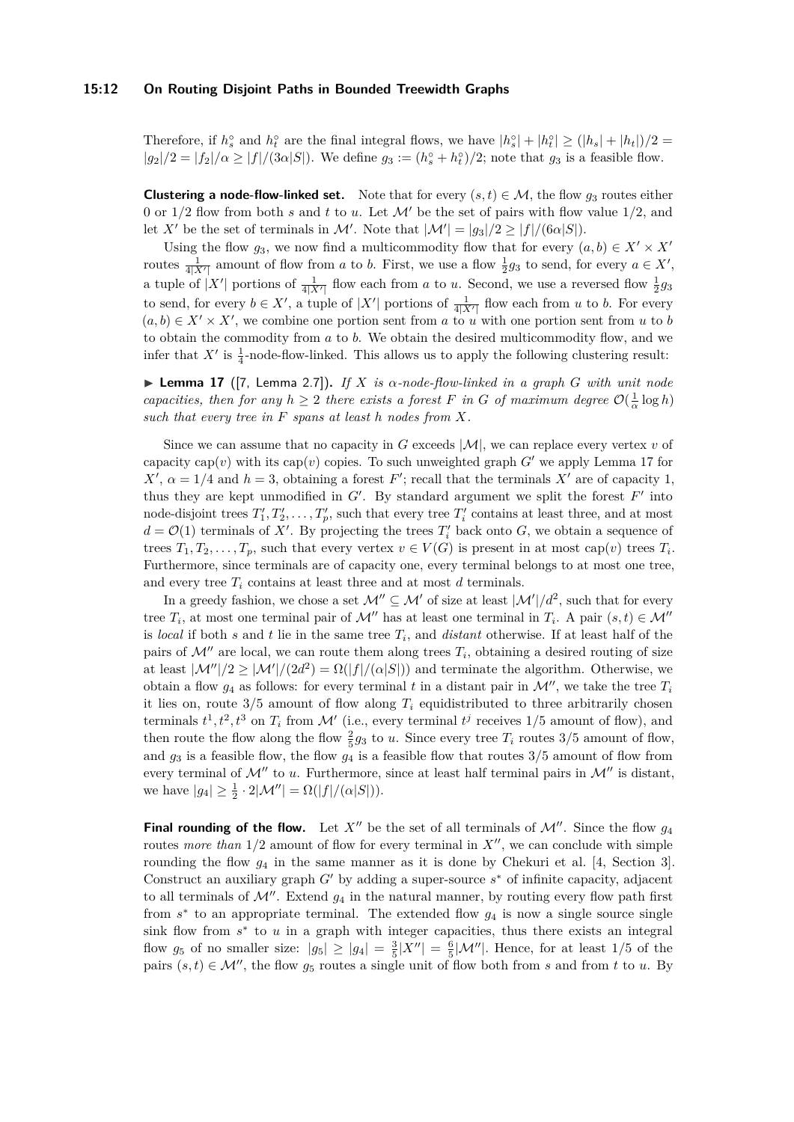#### **15:12 On Routing Disjoint Paths in Bounded Treewidth Graphs**

Therefore, if  $h_s^{\circ}$  and  $h_t^{\circ}$  are the final integral flows, we have  $|h_s^{\circ}| + |h_t^{\circ}| \ge (|h_s| + |h_t|)/2$  $|g_2|/2 = |f_2|/\alpha \ge |f|/(3\alpha|S|)$ . We define  $g_3 := (h_s^{\circ} + h_t^{\circ})/2$ ; note that  $g_3$  is a feasible flow.

**Clustering a node-flow-linked set.** Note that for every  $(s, t) \in M$ , the flow  $g_3$  routes either 0 or  $1/2$  flow from both *s* and *t* to *u*. Let M' be the set of pairs with flow value  $1/2$ , and let *X'* be the set of terminals in *M'*. Note that  $|M'| = |g_3|/2 \ge |f|/(6\alpha|S|)$ .

Using the flow  $g_3$ , we now find a multicommodity flow that for every  $(a, b) \in X' \times X'$ routes  $\frac{1}{4|X'|}$  amount of flow from *a* to *b*. First, we use a flow  $\frac{1}{2}g_3$  to send, for every  $a \in X'$ , a tuple of  $|X'|$  portions of  $\frac{1}{4|X'|}$  flow each from *a* to *u*. Second, we use a reversed flow  $\frac{1}{2}g_3$ to send, for every  $b \in X'$ , a tuple of  $|X'|$  portions of  $\frac{1}{4|X'|}$  flow each from *u* to *b*. For every  $(a, b) \in X' \times X'$ , we combine one portion sent from *a* to *u* with one portion sent from *u* to *b* to obtain the commodity from *a* to *b*. We obtain the desired multicommodity flow, and we infer that  $X'$  is  $\frac{1}{4}$ -node-flow-linked. This allows us to apply the following clustering result:

<span id="page-11-0"></span> $\blacktriangleright$  **Lemma 17** ([\[7,](#page-13-7) Lemma 2.7]). If X is  $\alpha$ -node-flow-linked in a graph G with unit node *capacities, then for any*  $h \geq 2$  *there exists a forest F in G of maximum degree*  $\mathcal{O}(\frac{1}{\alpha} \log h)$ *such that every tree in F spans at least h nodes from X.*

Since we can assume that no capacity in *G* exceeds  $|M|$ , we can replace every vertex *v* of capacity cap( $v$ ) with its cap( $v$ ) copies. To such unweighted graph *G*<sup> $\prime$ </sup> we apply Lemma [17](#page-11-0) for  $X'$ ,  $\alpha = 1/4$  and  $h = 3$ , obtaining a forest *F*'; recall that the terminals *X'* are of capacity 1, thus they are kept unmodified in  $G'$ . By standard argument we split the forest  $F'$  into node-disjoint trees  $T_1', T_2', \ldots, T_p'$ , such that every tree  $T_i'$  contains at least three, and at most  $d = \mathcal{O}(1)$  terminals of X'. By projecting the trees  $T_i'$  back onto *G*, we obtain a sequence of trees  $T_1, T_2, \ldots, T_p$ , such that every vertex  $v \in V(G)$  is present in at most cap(*v*) trees  $T_i$ . Furthermore, since terminals are of capacity one, every terminal belongs to at most one tree, and every tree  $T_i$  contains at least three and at most  $d$  terminals.

In a greedy fashion, we chose a set  $\mathcal{M}'' \subseteq \mathcal{M}'$  of size at least  $|\mathcal{M}'|/d^2$ , such that for every tree  $T_i$ , at most one terminal pair of  $\mathcal{M}''$  has at least one terminal in  $T_i$ . A pair  $(s, t) \in \mathcal{M}''$ is *local* if both *s* and *t* lie in the same tree *T<sup>i</sup>* , and *distant* otherwise. If at least half of the pairs of  $\mathcal{M}$ <sup>*n*</sup> are local, we can route them along trees  $T_i$ , obtaining a desired routing of size at least  $|\mathcal{M}''|/2 \geq |\mathcal{M}'|/(2d^2) = \Omega(|f|/(\alpha|S|))$  and terminate the algorithm. Otherwise, we obtain a flow  $g_4$  as follows: for every terminal t in a distant pair in  $\mathcal{M}$ , we take the tree  $T_i$ it lies on, route  $3/5$  amount of flow along  $T_i$  equidistributed to three arbitrarily chosen terminals  $t^1, t^2, t^3$  on  $T_i$  from M' (i.e., every terminal  $t^j$  receives 1/5 amount of flow), and then route the flow along the flow  $\frac{2}{5}g_3$  to *u*. Since every tree  $T_i$  routes 3/5 amount of flow, and  $g_3$  is a feasible flow, the flow  $g_4$  is a feasible flow that routes  $3/5$  amount of flow from every terminal of  $\mathcal{M}''$  to *u*. Furthermore, since at least half terminal pairs in  $\mathcal{M}''$  is distant, we have  $|g_4| \ge \frac{1}{2} \cdot 2|\mathcal{M}''| = \Omega(|f|/(\alpha|S|)).$ 

**Final rounding of the flow.** Let  $X''$  be the set of all terminals of  $\mathcal{M}''$ . Since the flow  $g_4$ routes *more than*  $1/2$  amount of flow for every terminal in  $X''$ , we can conclude with simple rounding the flow *g*<sup>4</sup> in the same manner as it is done by Chekuri et al. [\[4,](#page-13-0) Section 3]. Construct an auxiliary graph  $G'$  by adding a super-source  $s^*$  of infinite capacity, adjacent to all terminals of  $\mathcal{M}$ . Extend  $g_4$  in the natural manner, by routing every flow path first from  $s^*$  to an appropriate terminal. The extended flow  $g_4$  is now a single source single sink flow from  $s^*$  to  $u$  in a graph with integer capacities, thus there exists an integral flow  $g_5$  of no smaller size:  $|g_5| \ge |g_4| = \frac{3}{5} |X''| = \frac{6}{5} |\mathcal{M}''|$ . Hence, for at least 1/5 of the pairs  $(s, t) \in \mathcal{M}$ , the flow  $g_5$  routes a single unit of flow both from *s* and from *t* to *u*. By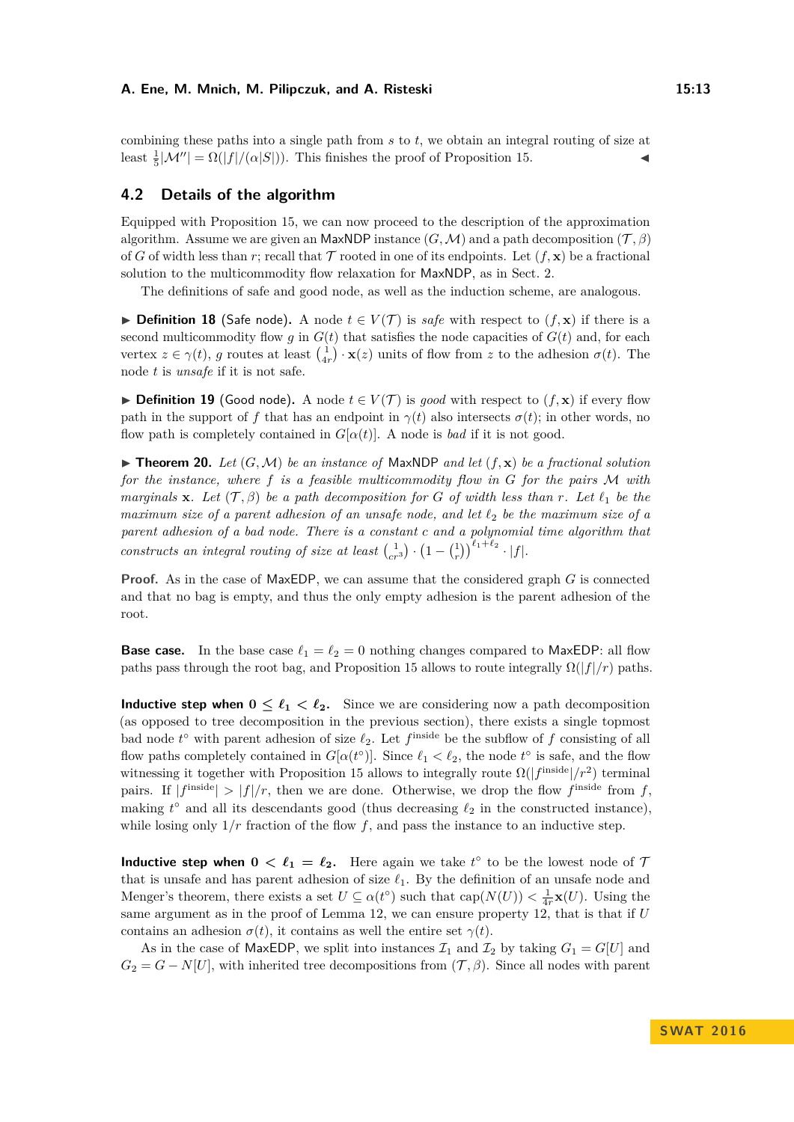combining these paths into a single path from *s* to *t*, we obtain an integral routing of size at least  $\frac{1}{5}|\mathcal{M}''| = \Omega(|f|/(\alpha|S|))$ . This finishes the proof of Proposition [15.](#page-9-1)

## <span id="page-12-0"></span>**4.2 Details of the algorithm**

Equipped with Proposition [15,](#page-9-1) we can now proceed to the description of the approximation algorithm. Assume we are given an MaxNDP instance  $(G, \mathcal{M})$  and a path decomposition  $(\mathcal{T}, \beta)$ of *G* of width less than *r*; recall that  $\mathcal T$  rooted in one of its endpoints. Let  $(f, \mathbf x)$  be a fractional solution to the multicommodity flow relaxation for MaxNDP, as in Sect. [2.](#page-4-1)

The definitions of safe and good node, as well as the induction scheme, are analogous.

**► Definition 18** (Safe node). A node  $t \in V(\mathcal{T})$  is *safe* with respect to  $(f, \mathbf{x})$  if there is a second multicommodity flow  $g$  in  $G(t)$  that satisfies the node capacities of  $G(t)$  and, for each vertex  $z \in \gamma(t)$ , *g* routes at least  $\begin{pmatrix} 1 \\ 4r \end{pmatrix} \cdot \mathbf{x}(z)$  units of flow from *z* to the adhesion  $\sigma(t)$ . The node *t* is *unsafe* if it is not safe.

**► Definition 19** (Good node). A node  $t \in V(T)$  is *good* with respect to  $(f, \mathbf{x})$  if every flow path in the support of f that has an endpoint in  $\gamma(t)$  also intersects  $\sigma(t)$ ; in other words, no flow path is completely contained in  $G[\alpha(t)]$ . A node is *bad* if it is not good.

<span id="page-12-1"></span> $\triangleright$  **Theorem 20.** *Let*  $(G, \mathcal{M})$  *be an instance of* MaxNDP *and let*  $(f, \mathbf{x})$  *be a fractional solution for the instance, where f is a feasible multicommodity flow in G for the pairs* M *with marginals* **x***. Let*  $(\mathcal{T}, \beta)$  *be a path decomposition for G of width less than r. Let*  $\ell_1$  *be the maximum size of a parent adhesion of an unsafe node, and let*  $\ell_2$  *be the maximum size of a parent adhesion of a bad node. There is a constant c and a polynomial time algorithm that constructs an integral routing of size at least*  $\binom{1}{cr} \cdot \left(1 - \binom{1}{r}\right)^{\ell_1 + \ell_2} \cdot |f|$ *.* 

**Proof.** As in the case of MaxEDP, we can assume that the considered graph *G* is connected and that no bag is empty, and thus the only empty adhesion is the parent adhesion of the root.

**Base case.** In the base case  $\ell_1 = \ell_2 = 0$  nothing changes compared to MaxEDP: all flow paths pass through the root bag, and Proposition [15](#page-9-1) allows to route integrally  $\Omega(|f|/r)$  paths.

**Inductive step when**  $0 \leq \ell_1 \leq \ell_2$ . Since we are considering now a path decomposition (as opposed to tree decomposition in the previous section), there exists a single topmost bad node  $t^{\circ}$  with parent adhesion of size  $\ell_2$ . Let  $f^{\text{inside}}$  be the subflow of  $f$  consisting of all flow paths completely contained in  $G[\alpha(t^{\circ})]$ . Since  $\ell_1 < \ell_2$ , the node  $t^{\circ}$  is safe, and the flow witnessing it together with Proposition [15](#page-9-1) allows to integrally route  $\Omega(|f^{\text{inside}}|/r^2)$  terminal pairs. If  $|f^{\text{inside}}| > |f|/r$ , then we are done. Otherwise, we drop the flow  $f^{\text{inside}}$  from f, making  $t^{\circ}$  and all its descendants good (thus decreasing  $\ell_2$  in the constructed instance), while losing only  $1/r$  fraction of the flow f, and pass the instance to an inductive step.

**Inductive step when**  $0 < \ell_1 = \ell_2$ . Here again we take  $t^{\circ}$  to be the lowest node of 7 that is unsafe and has parent adhesion of size  $\ell_1$ . By the definition of an unsafe node and Menger's theorem, there exists a set  $U \subseteq \alpha(t^{\circ})$  such that  $cap(N(U)) < \frac{1}{4r}\mathbf{x}(U)$ . Using the same argument as in the proof of Lemma [12,](#page-7-0) we can ensure property [12,](#page-7-0) that is that if *U* contains an adhesion  $\sigma(t)$ , it contains as well the entire set  $\gamma(t)$ .

As in the case of MaxEDP, we split into instances  $\mathcal{I}_1$  and  $\mathcal{I}_2$  by taking  $G_1 = G[U]$  and  $G_2 = G - N[U]$ , with inherited tree decompositions from  $(\mathcal{T}, \beta)$ . Since all nodes with parent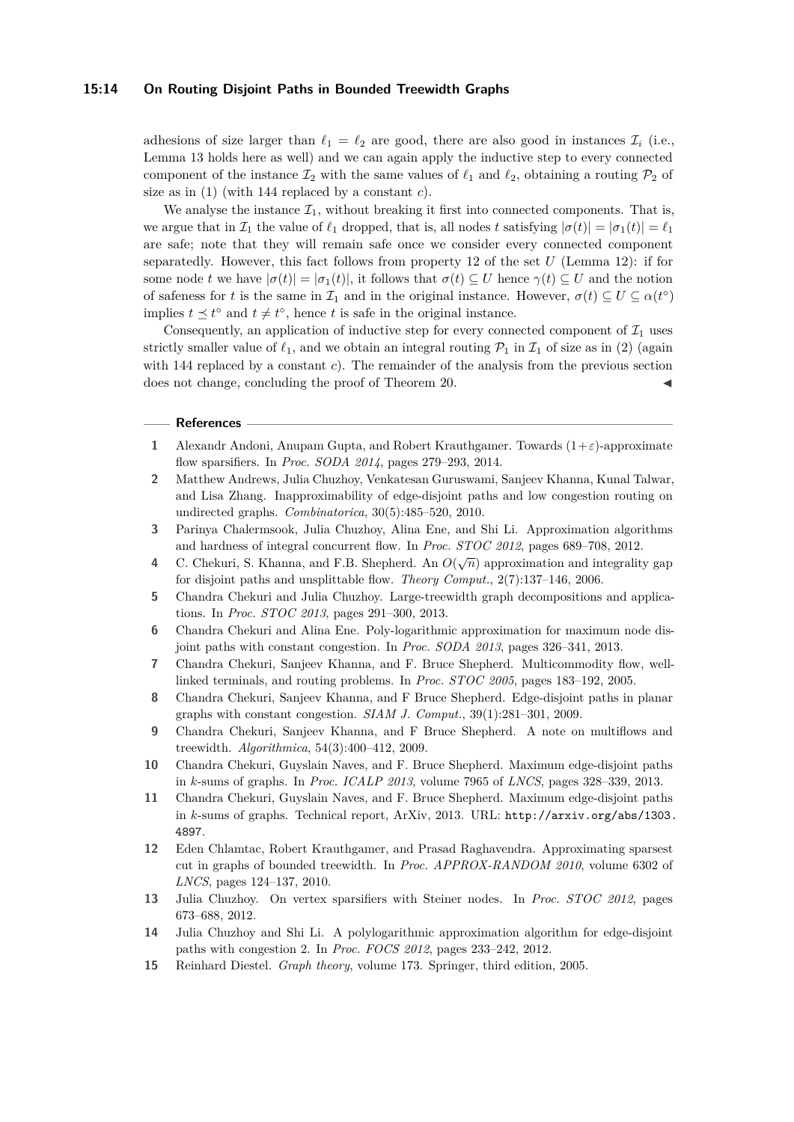#### **15:14 On Routing Disjoint Paths in Bounded Treewidth Graphs**

adhesions of size larger than  $\ell_1 = \ell_2$  are good, there are also good in instances  $\mathcal{I}_i$  (i.e., Lemma [13](#page-8-0) holds here as well) and we can again apply the inductive step to every connected component of the instance  $\mathcal{I}_2$  with the same values of  $\ell_1$  and  $\ell_2$ , obtaining a routing  $\mathcal{P}_2$  of size as in [\(1\)](#page-8-2) (with 144 replaced by a constant *c*).

We analyse the instance  $\mathcal{I}_1$ , without breaking it first into connected components. That is, we argue that in  $\mathcal{I}_1$  the value of  $\ell_1$  dropped, that is, all nodes *t* satisfying  $|\sigma(t)| = |\sigma_1(t)| = \ell_1$ are safe; note that they will remain safe once we consider every connected component separatedly. However, this fact follows from property [12](#page-7-0) of the set *U* (Lemma [12\)](#page-7-0): if for some node *t* we have  $|\sigma(t)| = |\sigma_1(t)|$ , it follows that  $\sigma(t) \subseteq U$  hence  $\gamma(t) \subseteq U$  and the notion of safeness for *t* is the same in  $\mathcal{I}_1$  and in the original instance. However,  $\sigma(t) \subseteq U \subseteq \alpha(t^{\circ})$ implies  $t \leq t^{\circ}$  and  $t \neq t^{\circ}$ , hence *t* is safe in the original instance.

Consequently, an application of inductive step for every connected component of  $\mathcal{I}_1$  uses strictly smaller value of  $\ell_1$ , and we obtain an integral routing  $\mathcal{P}_1$  in  $\mathcal{I}_1$  of size as in [\(2\)](#page-8-3) (again with 144 replaced by a constant *c*). The remainder of the analysis from the previous section does not change, concluding the proof of Theorem [20.](#page-12-1)

## **References**

- <span id="page-13-11"></span>**1** Alexandr Andoni, Anupam Gupta, and Robert Krauthgamer. Towards (1+*ε*)-approximate flow sparsifiers. In *Proc. SODA 2014*, pages 279–293, 2014.
- <span id="page-13-1"></span>**2** Matthew Andrews, Julia Chuzhoy, Venkatesan Guruswami, Sanjeev Khanna, Kunal Talwar, and Lisa Zhang. Inapproximability of edge-disjoint paths and low congestion routing on undirected graphs. *Combinatorica*, 30(5):485–520, 2010.
- <span id="page-13-9"></span>**3** Parinya Chalermsook, Julia Chuzhoy, Alina Ene, and Shi Li. Approximation algorithms and hardness of integral concurrent flow. In *Proc. STOC 2012*, pages 689–708, 2012.
- <span id="page-13-0"></span>**4** C. Chekuri, S. Khanna, and F.B. Shepherd. An  $O(\sqrt{n})$  approximation and integrality gap for disjoint paths and unsplittable flow. *Theory Comput.*, 2(7):137–146, 2006.
- <span id="page-13-4"></span>**5** Chandra Chekuri and Julia Chuzhoy. Large-treewidth graph decompositions and applications. In *Proc. STOC 2013*, pages 291–300, 2013.
- <span id="page-13-3"></span>**6** Chandra Chekuri and Alina Ene. Poly-logarithmic approximation for maximum node disjoint paths with constant congestion. In *Proc. SODA 2013*, pages 326–341, 2013.
- <span id="page-13-7"></span>**7** Chandra Chekuri, Sanjeev Khanna, and F. Bruce Shepherd. Multicommodity flow, welllinked terminals, and routing problems. In *Proc. STOC 2005*, pages 183–192, 2005.
- <span id="page-13-8"></span>**8** Chandra Chekuri, Sanjeev Khanna, and F Bruce Shepherd. Edge-disjoint paths in planar graphs with constant congestion. *SIAM J. Comput.*, 39(1):281–301, 2009.
- <span id="page-13-5"></span>**9** Chandra Chekuri, Sanjeev Khanna, and F Bruce Shepherd. A note on multiflows and treewidth. *Algorithmica*, 54(3):400–412, 2009.
- <span id="page-13-6"></span>**10** Chandra Chekuri, Guyslain Naves, and F. Bruce Shepherd. Maximum edge-disjoint paths in *k*-sums of graphs. In *Proc. ICALP 2013*, volume 7965 of *LNCS*, pages 328–339, 2013.
- <span id="page-13-14"></span>**11** Chandra Chekuri, Guyslain Naves, and F. Bruce Shepherd. Maximum edge-disjoint paths in *k*-sums of graphs. Technical report, ArXiv, 2013. URL: [http://arxiv.org/abs/1303.](http://arxiv.org/abs/1303.4897) [4897](http://arxiv.org/abs/1303.4897).
- <span id="page-13-12"></span>**12** Eden Chlamtac, Robert Krauthgamer, and Prasad Raghavendra. Approximating sparsest cut in graphs of bounded treewidth. In *Proc. APPROX-RANDOM 2010*, volume 6302 of *LNCS*, pages 124–137, 2010.
- <span id="page-13-10"></span>**13** Julia Chuzhoy. On vertex sparsifiers with Steiner nodes. In *Proc. STOC 2012*, pages 673–688, 2012.
- <span id="page-13-2"></span>**14** Julia Chuzhoy and Shi Li. A polylogarithmic approximation algorithm for edge-disjoint paths with congestion 2. In *Proc. FOCS 2012*, pages 233–242, 2012.
- <span id="page-13-13"></span>**15** Reinhard Diestel. *Graph theory*, volume 173. Springer, third edition, 2005.